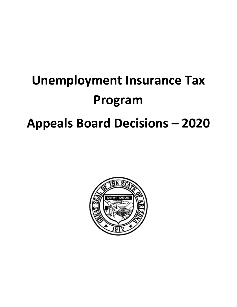# **Unemployment Insurance Tax Program Appeals Board Decisions – 2020**

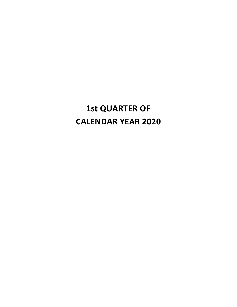# **1st QUARTER OF CALENDAR YEAR 2020**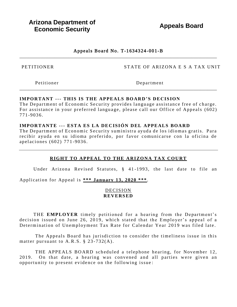**Appeals Board** 

# Appeals Board No. T-1634324-001-B

**PETITIONER** 

STATE OF ARIZONA E S A TAX UNIT

Petitioner

Department

#### **IMPORTANT --- THIS IS THE APPEALS BOARD'S DECISION**

The Department of Economic Security provides language assistance free of charge. For assistance in your preferred language, please call our Office of Appeals (602)  $771 - 9036$ .

#### IMPORTANTE --- ESTA ES LA DECISIÓN DEL APPEALS BOARD

The Department of Economic Security suministra ayuda de los idiomas gratis. Para recibir ayuda en su idioma preferido, por favor comunicarse con la oficina de apelaciones (602) 771-9036.

# RIGHT TO APPEAL TO THE ARIZONA TAX COURT

Under Arizona Revised Statutes, § 41-1993, the last date to file an

Application for Appeal is \*\*\* January 13, 2020 \*\*\*.

#### **DECISION REVERSED**

THE EMPLOYER timely petitioned for a hearing from the Department's decision issued on June 26, 2019, which stated that the Employer's appeal of a Determination of Unemployment Tax Rate for Calendar Year 2019 was filed late.

The Appeals Board has jurisdiction to consider the timeliness issue in this matter pursuant to A.R.S.  $\S$  23-732(A).

THE APPEALS BOARD scheduled a telephone hearing, for November 12, 2019. On that date, a hearing was convened and all parties were given an opportunity to present evidence on the following issue: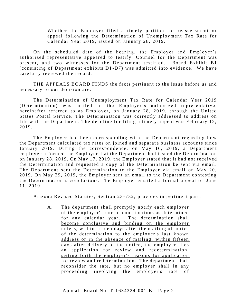Whether the Employer filed a timely petition for reassessment or appeal following the Determination of Unemployment Tax Rate for Calendar Year 2019, issued on January 28, 2019.

On the scheduled date of the hearing, the Employer and Employer's authorized representative appeared to testify. Counsel for the Department was present, and two witnesses for the Department testified. Board Exhibit B1 (consisting of Department exhibits  $D1-D7$ ) was admitted into evidence. We have carefully reviewed the record.

THE APPEALS BOARD FINDS the facts pertinent to the issue before us and necessary to our decision are:

The Determination of Unemployment Tax Rate for Calendar Year 2019 (Determination) was mailed to the Employer's authorized representative, hereinafter referred to as Employer, on January 28, 2019, through the United States Postal Service. The Determination was correctly addressed to address on file with the Department. The deadline for filing a timely appeal was February 12, 2019.

The Employer had been corresponding with the Department regarding how the Department calculated tax rates on joined and separate business accounts since January 2019. During the correspondence, on May 16, 2019, a Department employee informed the Employer that the Department had issued the Determination on January 28, 2019. On May 17, 2019, the Employer stated that it had not received the Determination and requested a copy of the Determination be sent via email. The Department sent the Determination to the Employer via email on May 20, 2019. On May 29, 2019, the Employer sent an email to the Department contesting the Determination's conclusions. The Employer emailed a formal appeal on June 11, 2019.

Arizona Revised Statutes, Section 23-732, provides in pertinent part:

A. The department shall promptly notify each employer of the employer's rate of contributions as determined for any calendar year. The determination shall become conclusive and binding on the employer unless, within fifteen days after the mailing of notice of the determination to the employer's last known address or in the absence of mailing, within fifteen days after delivery of the notice, the employer files an application for review and redetermination, setting forth the employer's reasons for application for review and redetermination. The department shall reconsider the rate, but no employer shall in any proceeding involving the employer's rate of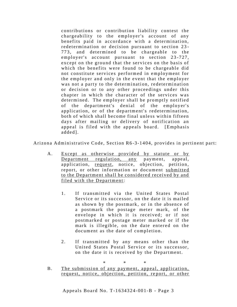contributions or contribution liability contest the chargeability to the employer's account of any benefits paid in accordance with a determination, redetermination or decision pursuant to section 23-773, and determined to be chargeable to the employer's account pursuant to section 23-727, except on the ground that the services on the basis of which the benefits were found to be chargeable did not constitute services performed in employment for the employer and only in the event that the employer was not a party to the determination, redetermination or decision or to any other proceedings under this chapter in which the character of the services was determined. The employer shall be promptly notified of the department's denial of the employer's application, or of the department's redetermination, both of which shall become final unless within fifteen days after mailing or delivery of notification an appeal is filed with the appeals board. [Emphasis] added<sub>1</sub>.

Arizona Administrative Code, Section R6-3-1404, provides in pertinent part:

- $A_{\cdot}$ Except as otherwise provided by statute or by Department regulation, any payment, appeal. application, request, notice, objection, petition, report, or other information or document submitted to the Department shall be considered received by and filed with the Department:
	- If transmitted via the United States Postal  $1_{-}$ Service or its successor, on the date it is mailed as shown by the postmark, or in the absence of a postmark the postage meter mark, of the envelope in which it is received; or if not postmarked or postage meter marked or if the mark is illegible, on the date entered on the document as the date of completion.
	- $2.$ If transmitted by any means other than the United States Postal Service or its successor, on the date it is received by the Department.

 $\ast$ 

The submission of any payment, appeal, application,  $B<sub>1</sub>$ request, notice, objection, petition, report, or other

Appeals Board No. T-1634324-001-B - Page 3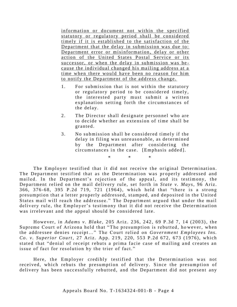information or document not within the specified statutory or regulatory period shall be considered timely if it is established to the satisfaction of the Department that the delay in submission was due to: Department error or misinformation, delay or other action of the United States Postal Service or its successor, or when the delay in submission was because the individual changed his mailing address at a time when there would have been no reason for him to notify the Department of the address change.

- For submission that is not within the statutory  $1_{-}$ or regulatory period to be considered timely, the interested party must submit a written explanation setting forth the circumstances of the delay.
- $2.$ The Director shall designate personnel who are to decide whether an extension of time shall be granted.
- $3<sub>1</sub>$ No submission shall be considered timely if the delay in filing was unreasonable, as determined by the Department after considering the circumstances in the case. [Emphasis added].

 $\ast$ 

The Employer testified that it did not receive the original Determination. The Department testified that as the Determination was properly addressed and mailed. In the Department's rejection of the appeal, and its testimony, the Department relied on the mail delivery rule, set forth in State v. Mays, 96 Ariz. 366, 376-68, 395 P.2d 719, 721 (1964), which held that "there is a strong presumption that a letter properly addressed, stamped, and deposited in the United States mail will reach the addressee." The Department argued that under the mail delivery rule, the Employer's testimony that it did not receive the Determination was irrelevant and the appeal should be considered late.

However, in Adams v. Blake, 205 Ariz. 236, 242, 69 P.3d 7, 14 (2003), the Supreme Court of Arizona held that "The presumption is rebutted, however, when the addressee denies receipt..." The Court relied on Government Employees Ins. Co. v. Superior Court, 27 Ariz. App. 219, 220, 553 P.2d 672, 673 (1976), which stated that "denial of receipt rebuts a prima facie case of mailing and creates an issue of fact for resolution by the trier of fact."

Here, the Employer credibly testified that the Determination was not received, which rebuts the presumption of delivery. Since the presumption of delivery has been successfully rebutted, and the Department did not present any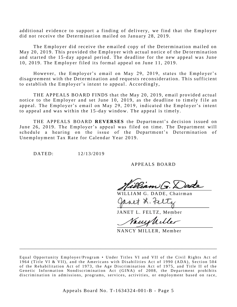additional evidence to support a finding of delivery, we find that the Employer did not receive the Determination mailed on January 28, 2019.

The Employer did receive the emailed copy of the Determination mailed on May 20, 2019. This provided the Employer with actual notice of the Determination and started the 15-day appeal period. The deadline for the new appeal was June 10, 2019. The Employer filed its formal appeal on June 11, 2019.

However, the Employer's email on May 29, 2019, states the Employer's dis agreement with the Determination and requests reconsideration. This sufficient to establish the Employer's intent to appeal. Accordingly,

THE APPEALS BOARD FINDS that the May 20, 2019, email provided actual notice to the Employer and set June 10, 2019, as the deadline to timely file an appeal. The Employer's email on May 29, 2019, indicated the Employer's intent to appeal and was within the 15-day window. The appeal is timely.

THE APPEALS BOARD REVERSES the Department's decision issued on June 26, 2019. The Employer's appeal was filed on time. The Department will schedule a hearing on the issue of the Department's Determination of Unemployment Tax Rate for Calendar Year 2019.

DATED:  $12/13/2019$ 

APPEALS BOARD

illiam G. Dade

WILLIAM G. DADE, Chairman

avet L. telts

JANET L. FELTZ, Member

Vanishilles

NANCY MILLER, Member

Equal Opportunity Employer/Program • Under Titles VI and VII of the Civil Rights Act of 1964 (Title VI & VII), and the Americans with Disabilities Act of 1990 (ADA), Section 504 of the Rehabilitation Act of 1973, the Age Discrimination Act of 1975, and Title II of the Genetic Information Nondiscrimination Act (GINA) of 2008, the Department prohibits discrimination in admissions, programs, services, activities, or employment based on race,

\_\_\_\_\_\_\_\_\_\_\_\_\_\_\_\_\_\_\_\_\_\_\_\_\_\_\_\_\_\_\_\_\_\_\_\_\_\_\_\_\_\_\_\_\_\_\_\_\_\_\_\_\_\_\_\_\_\_\_\_\_\_\_\_\_\_\_\_\_\_\_\_\_\_\_\_\_\_\_\_\_\_\_\_\_

Appeals Board No. T-1634324-001-B - Page 5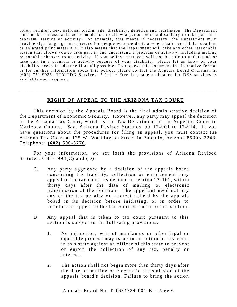color, religion, sex, national origin, age, disability, genetics and retaliation. The Department must make a reasonable accommodation to allow a person with a disability to take part in a program, service or activity. For example, this means if necessary, the Department must provide sign language interpreters for people who are deaf, a wheelchair accessible location, or enlarged print materials. It also means that the Department will take any other reasonable action that allows you to take part in and understand a program or activity, including making reasonable changes to an activity. If you believe that you will not be able to understand or take part in a program or activity because of your disability, please let us know of your disability needs in advance if at all possible. To request this document in alternative format or for further information about this policy, please contact the Appeals Board Chairman at  $(602)$  771-9036; TTY/TDD Services: 7-1-1. • Free language assistance for DES services is available upon request.

# **RIGHT OF APPEAL TO THE ARIZONA TAX COURT**

\_\_\_\_\_\_\_\_\_\_\_\_\_\_\_\_\_\_\_\_\_\_\_\_\_\_\_\_\_\_\_\_\_\_\_\_\_\_\_\_\_\_\_\_\_\_\_\_\_\_\_\_\_\_\_\_\_\_\_\_\_\_\_\_\_\_\_\_\_\_\_\_\_\_\_\_\_\_\_\_\_\_\_\_\_

This decision by the Appeals Board is the final administrative decision of the Department of Economic Security. However, any party may appeal the decision to the Arizona Tax Court, which is the Tax Department of the Superior Court in Maricopa County. *See*, Arizona Revised Statutes, §§ 12-901 to 12-914. If you have questions about the procedures for filing an appeal, you must contact the Arizona Tax Court at 125 W. Washington Street in Phoenix, Arizona 85003-2243. T eleph one: **( 60 2) 506 - 3 776** .

For your information, we set forth the provisions of Arizona Revised Statutes,  $§$  41-1993(C) and (D):

- C. Any party aggrieved by a decision of the appeals board concerning tax liability, collection or enforcement may appeal to the tax court, as defined in section 12-161, within thirty days after the date of mailing or electronic transmission of the decision. The appellant need not pay any of the tax penalty or interest upheld by the appeals board in its decision before initiating, or in order to maintain an appeal to the tax court pursuant to this section.
- D. Any appeal that is taken to tax court pursuant to this section is subject to the following provisions:
	- 1. No injunction, writ of mandamus or other legal or equitable process may issue in an action in any court in this state against an officer of this state to prevent or enjoin the collection of any tax, penalty or interest.
	- 2. The action shall not begin more than thirty days after the date of mailing or electronic transmission of the appeals board's decision. Failure to bring the action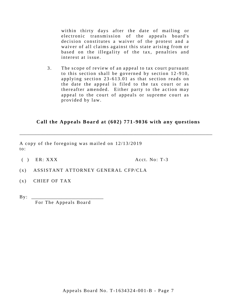within thirty days after the date of mailing or electronic transmission of the appeals board's decision constitutes a waiver of the protest and a waiver of all claims against this state arising from or based on the illegality of the tax, penalties and interest at issue.

 $3.$ The scope of review of an appeal to tax court pursuant to this section shall be governed by section 12-910, applying section 23-613.01 as that section reads on the date the appeal is filed to the tax court or as thereafter amended. Either party to the action may appeal to the court of appeals or supreme court as provided by law.

# Call the Appeals Board at (602) 771-9036 with any questions

A copy of the foregoing was mailed on 12/13/2019  $\mathbf{to}$ :

 $( )$  ER: XXX

Acct. No:  $T-3$ 

- $(x)$ ASSISTANT ATTORNEY GENERAL CFP/CLA
- $(x)$  CHIEF OF TAX
- $\mathbf{B} \mathbf{y}$ :

For The Appeals Board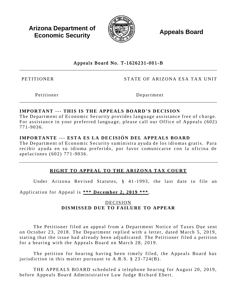**Arizona Department of Economic Security** 



**Appeals Board** 

# Appeals Board No. T-1626231-001-B

**PETITIONER** 

STATE OF ARIZONA ESA TAX UNIT

Petitioner

Department

# **IMPORTANT --- THIS IS THE APPEALS BOARD'S DECISION**

The Department of Economic Security provides language assistance free of charge. For assistance in your preferred language, please call our Office of Appeals (602) 771-9036.

# IMPORTANTE --- ESTA ES LA DECISIÓN DEL APPEALS BOARD

The Department of Economic Security suministra avuda de los idiomas gratis. Para recibir ayuda en su idioma preferido, por favor comunicarse con la oficina de apelaciones (602) 771-9036.

# RIGHT TO APPEAL TO THE ARIZONA TAX COURT

Under Arizona Revised Statutes, § 41-1993, the last date to file an

Application for Appeal is \*\*\* December 2, 2019 \*\*\*.

# **DECISION** DISMISSED DUE TO FAILURE TO APPEAR

The Petitioner filed an appeal from a Department Notice of Taxes Due sent on October 23, 2018. The Department replied with a letter, dated March 5, 2019, stating that the issue had already been adjudicated. The Petitioner filed a petition for a hearing with the Appeals Board on March 28, 2019.

The petition for hearing having been timely filed, the Appeals Board has jurisdiction in this matter pursuant to  $A.R.S. § 23-724(B)$ .

THE APPEALS BOARD scheduled a telephone hearing for August 20, 2019, before Appeals Board Administrative Law Judge Richard Ebert.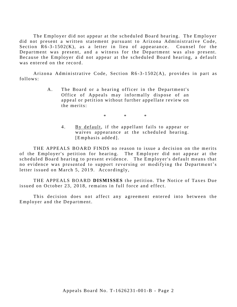The Employer did not appear at the scheduled Board hearing. The Employer did not present a written statement pursuant to Arizona Administrative Code, Section  $R6-3-1502(K)$ , as a letter in lieu of appearance. Counsel for the Department was present, and a witness for the Department was also present. Because the Employer did not appear at the scheduled Board hearing, a default was entered on the record.

Arizona Administrative Code, Section  $R6 - 3 - 1502(A)$ , provides in part as follows:

> A. The Board or a hearing officer in the Department's Office of Appeals may informally dispose of an appeal or petition without further appellate review on the merits:

> > $*$  \* \* \*

4. By default, if the appellant fails to appear or waives appearance at the scheduled hearing. [Emphasis added].

THE APPEALS BOARD FINDS no reason to issue a decision on the merits of the Employer's petition for hearing. The Employer did not appear at the scheduled Board hearing to present evidence. The Employer's default means that no evidence was presented to support reversing or modifying the Department's letter issued on March 5, 2019. Accordingly,

THE APPEALS BOARD DISMISSES the petition. The Notice of Taxes Due issued on October 23, 2018, remains in full force and effect.

This decision does not affect any agreement entered into between the Employer and the Department.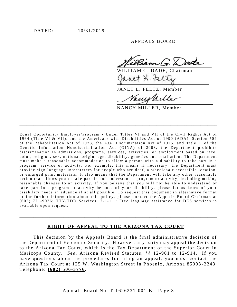APPEALS BOARD

 $2$ am $\sqrt{\pi}$   $\times$  ade

ILLIAM G. DADE, Chairman net L. Feltz

JANET L. FELTZ, Member

Vanish iller

NANCY MILLER, Member

Equal Opportunity Employer/Program . Under Titles VI and VII of the Civil Rights Act of 1964 (Title VI & VII), and the Americans with Disabilities Act of 1990 (ADA), Section 504 of the Rehabilitation Act of 1973, the Age Discrimination Act of 1975, and Title II of the Genetic Information Nondiscrimination Act (GINA) of 2008, the Department prohibits discrimination in admissions, programs, services, activities, or employment based on race, color, religion, sex, national origin, age, disability, genetics and retaliation. The Department must make a reasonable accommodation to allow a person with a disability to take part in a program, service or activity. For example, this means if necessary, the Department must provide sign language interpreters for people who are deaf, a wheelchair accessible location, or enlarged print materials. It also means that the Department will take any other reasonable action that allows you to take part in and understand a program or activity, including making reasonable changes to an activity. If you believe that you will not be able to understand or take part in a program or activity because of your disability, please let us know of your disability needs in advance if at all possible. To request this document in alternative format or for further information about this policy, please contact the Appeals Board Chairman at (602) 771-9036; TTY/TDD Services: 7-1-1. • Free language assistance for DES services is available upon request.

#### RIGHT OF APPEAL TO THE ARIZONA TAX COURT

This decision by the Appeals Board is the final administrative decision of the Department of Economic Security. However, any party may appeal the decision to the Arizona Tax Court, which is the Tax Department of the Superior Court in Maricopa County. See, Arizona Revised Statutes, §§ 12-901 to 12-914. If you have questions about the procedures for filing an appeal, you must contact the Arizona Tax Court at 125 W. Washington Street in Phoenix, Arizona 85003-2243. Telephone: (602) 506-3776.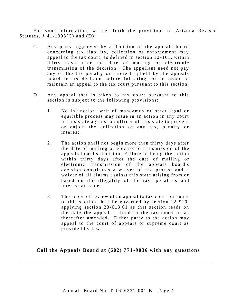For your information, we set forth the provisions of Arizona Revised Statutes,  $\S$  41-1993(C) and (D):

- C. Any party aggrieved by a decision of the appeals board concerning tax liability, collection or enforcement may appeal to the tax court, as defined in section 12-161, within thirty days after the date of mailing or electronic transmission of the decision. The appellant need not pay any of the tax penalty or interest upheld by the appeals board in its decision before initiating, or in order to maintain an appeal to the tax court pursuant to this section.
- D. Any appeal that is taken to tax court pursuant to this section is subject to the following provisions:
	- 1. No injunction, writ of mandamus or other legal or equitable process may issue in an action in any court in this state against an officer of this state to prevent or enjoin the collection of any tax, penalty or interest.
	- 2. The action shall not begin more than thirty days after the date of mailing or electronic transmission of the appeals board's decision. Failure to bring the action within thirty days after the date of mailing or electronic transmission of the appeals board's decision constitutes a waiver of the protest and a waiver of all claims against this state arising from or based on the illegality of the tax, penalties and interest at issue.
	- 3. The scope of review of an appeal to tax court pursuant to this section shall be governed by section  $12-910$ , applying section  $23-613.01$  as that section reads on the date the appeal is filed to the tax court or as thereafter amended. Either party to the action may appeal to the court of appeals or supreme court as provided by law.

Call the Appeals Board at (602) 771-9036 with any questions

\_\_\_\_\_\_\_\_\_\_\_\_\_\_\_\_\_\_\_\_\_\_\_\_\_\_\_\_\_\_\_\_\_\_\_\_\_\_\_\_\_\_\_\_\_\_\_\_\_\_\_\_\_\_\_\_\_\_\_\_\_\_\_\_\_\_\_\_\_\_\_\_\_\_\_\_\_\_\_\_\_\_\_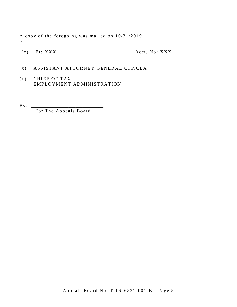A copy of the foregoing was mailed on 10/31/2019  $\mathrm{to:}$ 

 $(x)$  Er: XXX

Acct. No: XXX

- ASSISTANT ATTORNEY GENERAL CFP/CLA  $(x)$
- $(x)$ CHIEF OF TAX EMPLOYMENT ADMINISTRATION
- $\mathbf{B} \mathbf{y}$ :

For The Appeals Board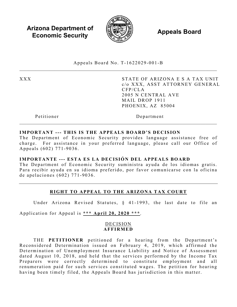**Arizona Department of Economic Security Appeals Board** *Appeals* 



Appeals Board No. T - 1622029 -001 -B  $\_$ 

XXX STATE OF ARIZONA E S A TAX UNIT c/o XXX, ASST ATTORNEY GENERAL CFP/CLA 2005 N CENTRAL AVE MAIL DROP 1911 PHOENIX, AZ 85004

Petitioner Department

#### **IMPORTANT --- THIS IS THE APPEALS BOARD'S DECISION**

The Department of Economic Security provides language assistance free of charge. For assistance in your preferred language, please call our Office of Appeals (602) 771 -9036 .

 $\_$ 

#### **IMPORTANTE --- ESTA ES LA DECISIÓN DEL APPEALS BOARD**

The Department of Economic Security suministra ayuda de los idiomas gratis. Para recibir ayuda en su idioma preferido, por favor comunicarse con la oficina de apelaciones (602) 771 - 9036 .

# **RIGHT TO APPEAL TO THE ARIZONA TAX COURT**

Under Arizona Revised Statutes, § 41-1993, the last date to file an

Application for Appeal is **\*\*\* April 20, 2020 \*\*\***.

#### DECISION **AFFIRMED**

THE **PETITIONER** petitioned for a hearing from the Department's Reconsidered Determination issued on February 4, 2019, which affirmed the Determination of Unemployment Insurance Liability and Notice of Assessment dated August 10, 2018, and held that the services performed by the Income Tax Preparers were correctly determined to constitute employment and all renumeration paid for such services constituted wages. The petition for hearing having been timely filed, the Appeals Board has jurisdiction in this matter.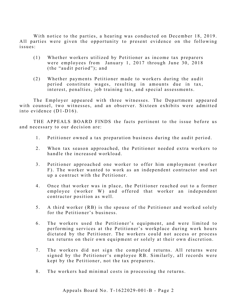With notice to the parties, a hearing was conducted on December 18, 2019. All parties were given the opportunity to present evidence on the following issues:

- (1) Whether workers utilized by Petitioner as income tax preparers were employees from January 1, 2017 through June 30, 2018 (the "audit period"); and
- (2) Whether payments Petitioner made to workers during the audit period constitute wages, resulting in amounts due in tax, interest, penalties, job training tax, and special assessments.

The Employer appeared with three witnesses. The Department appeared with counsel, two witnesses, and an observer. Sixteen exhibits were admitted into evidence  $(D1-D16)$ .

THE APPEALS BOARD FINDS the facts pertinent to the issue before us and necessary to our decision are:

- 1. Petitioner owned a tax preparation business during the audit period.
- 2. When tax season approached, the Petitioner needed extra workers to handle the increased workload.
- 3 . Petitioner approached one worker to offer him employment (worker F). The worker wanted to work as an independent contractor and set up a contract with the Petitioner.
- 4 . Once that worker was in place, the Petitioner reached out to a former employee (worker W) and offered that worker an independent contractor position as well.
- 5 . A third worker (RB) is the spouse of the Petitioner and worked solely for the Petitioner's business.
- 6 . The workers used the Petitioner's equipment, and were limited to performing services at the Petitioner's workplace during work hours dictated by the Petitioner. The workers could not access or process tax returns on their own equipment or solely at their own discretion.
- 7. The workers did not sign the completed returns. All returns were signed by the Petitioner's employee RB. Similarly, all records were kept by the Petitioner, not the tax preparers.
- 8. The workers had minimal costs in processing the returns.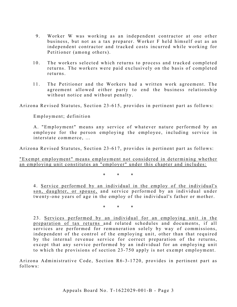- 9. Worker W was working as an independent contractor at one other business, but not as a tax preparer. Worker F held himself out as an independent contractor and tracked costs incurred while working for Petitioner (among others).
- 10. The workers selected which returns to process and tracked completed returns. The workers were paid exclusively on the basis of completed returns.
- 11. The Petitioner and the Workers had a written work agreement. The agreement allowed either party to end the business relationship without notice and without penalty.

Arizona Revised Statutes, Section 23 -615, provides in pertinent part as follows:

Employment; definition

A. "Employment" means any service of whatever nature performed by an employee for the person employing the employee, including service in interstate commerce, …

Arizona Revised Statutes, Section 23-617, provides in pertinent part as follows:

"Exempt employment" means employment not considered in determining whether an employing unit constitutes an "employer" under this chapter and includes:

\* \* \*

4 . Service performed by an individual in the employ of the individual's son, daughter, or spouse, and service performed by an individual under twenty-one years of age in the employ of the individual's father or mother.

\* \* \*

23. Services performed by an individual for an employing unit in the preparation of tax returns and related schedules and documents, if all services are performed for remuneration solely by way of commissions, independent of the control of the employing unit, other than that required by the internal revenue service for correct preparation of the returns, except that any service performed by an individual for an employing unit to which the provisions of section 23 -750 apply is not exempt employment.

Arizona Administrative Code, Section R6-3-1720, provides in pertinent part as follows: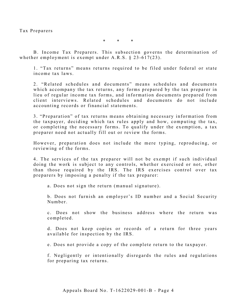Tax Preparers

\* \* \*

B. Income Tax Preparers. This subsection governs the determination of whether employment is exempt under A.R.S. § 23-617(23).

1. "Tax returns" means returns required to be filed under federal or state income tax laws.

2. "Related schedules and documents" means schedules and documents which accompany the tax returns, any forms prepared by the tax preparer in lieu of regular income tax forms, and information documents prepared from client interviews. Related schedules and documents do not include accounting records or financial statements.

3. "Preparation" of tax returns means obtaining necessary information from the taxpayer, deciding which tax rules apply and how, computing the tax, or completing the necessary forms. To qualify under the exemption, a tax preparer need not actually fill out or review the forms.

However, preparation does not include the mere typing, reproducing, or reviewing of the forms.

4. The services of the tax preparer will not be exempt if such individual doing the work is subject to any controls, whether exercised or not, other than those required by the IRS. The IRS exercises control over tax preparers by imposing a penalty if the tax preparer:

a. Does not sign the return (manual signature).

b. Does not furnish an employer's ID number and a Social Security Number.

c. Does not show the business address where the return was completed.

d. Does not keep copies or records of a return for three years available for inspection by the IRS.

e. Does not provide a copy of the complete return to the taxpayer.

f. Negligently or intentionally disregards the rules and regulations for preparing tax returns.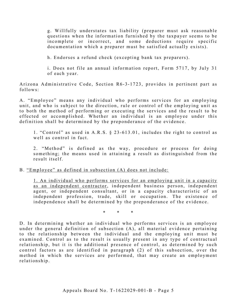g. Willfully understates tax liability (preparer must ask reasonable questions when the information furnished by the taxpayer seems to be incomplete or incorrect, and some deductions require specific documentation which a preparer must be satisfied actually exists).

h. Endorses a refund check (excepting bank tax preparers).

i. Does not file an annual information report, Form 5717, by July 31 of each year.

Arizona Administrative Code, Section R6-3-1723, provides in pertinent part as follows:

A. "Employee" means any individual who performs services for an employing unit, and who is subject to the direction, rule or control of the employing unit as to both the method of performing or executing the services and the result to be effected or accomplished. Whether an individual is an employee under this definition shall be determined by the preponderance of the evidence.

1. "Control" as used in A.R.S. § 23-613.01, includes the right to control as well as control in fact.

2. "Method" is defined as the way, procedure or process for doing something; the means used in attaining a result as distinguished from the result itself.

B. "Employee" as defined in subsection (A) does not include:

1. An individual who performs services for an employing unit in a capacity as an independent contractor, independent business person, independent agent, or independent consultant, or in a capacity characteristic of an independent profession, trade, skill or occupation. The existence of independence shall be determined by the preponderance of the evidence.

\* \* \*

D. In determining whether an individual who performs services is an employee under the general definition of subsection (A), all material evidence pertaining to the relationship between the individual and the employing unit must be examined. Control as to the result is usually present in any type of contractual relationship, but it is the additional presence of control, as determined by such control factors as are identified in paragraph (2) of this subsection, over the method in which the services are performed, that may create an employment relationship.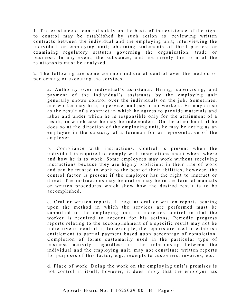1. The existence of control solely on the basis of the existence of the right to control may be established by such action as: reviewing written contracts between the individual and the employing unit; interviewing the individual or employing unit; obtaining statements of third parties; or examining regulatory statutes governing the organization, trade or business. In any event, the substance, and not merely the form of the relationship must be analyzed.

2. The following are some common indicia of control over the method of performing or executing the services:

a. Authority over individual's assistants. Hiring, supervising, and payment of the individual's assistants by the employing unit generally shows control over the individuals on the job. Sometimes, one worker may hire, supervise, and pay other workers. He may do so as the result of a contract in which he agrees to provide materials and labor and under which he is responsible only for the attainment of a result; in which case he may be independent. On the other hand, if he does so at the direction of the employing unit, he may be acting as an employee in the capacity of a foreman for or representative of the employer.

b. Compliance with instructions. Control is present when the individual is required to comply with instructions about when, where and how he is to work. Some employees may work without receiving instructions because they are highly proficient in their line of work and can be trusted to work to the best of their abilities; however, the control factor is present if the employer has the right to instruct or direct. The instructions may be oral or may be in the form of manuals or written procedures which show how the desired result is to be accomplished.

c. Oral or written reports. If regular oral or written reports bearing upon the method in which the services are performed must be submitted to the employing unit, it indicates control in that the worker is required to account for his actions. Periodic progress reports relating to the accomplishment of a specific result may not be indicative of control if, for example, the reports are used to establish entitlement to partial payment based upon percentage of completion. Completion of forms customarily used in the particular type of business activity, regardless of the relationship between the individual and the employing unit, may not constitute written reports for purposes of this factor; e.g., receipts to customers, invoices, etc.

d. Place of work. Doing the work on the employing unit's premises is not control in itself; however, it does imply that the employer has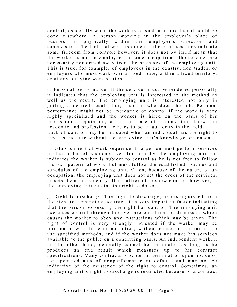control, especially when the work is of such a nature that it could be done elsewhere. A person working in the employer's place of business is physically within the employer's direction and supervision. The fact that work is done off the premises does indicate some freedom from control; however, it does not by itself mean that the worker is not an employee. In some occupations, the services are necessarily performed away from the premises of the employing unit. This is true, for example, of employees in the construction trades, or employees who must work over a fixed route, within a fixed territory, or at any outlying work station.

e. Personal performance. If the services must be rendered personally it indicates that the employing unit is interested in the method as well as the result. The employing unit is interested not only in getting a desired result, but, also, in who does the job. Personal performance might not be indicative of control if the work is very highly specialized and the worker is hired on the basis of his professional reputation, as in the case of a consultant known in academic and professional circles to be an authority in the field. Lack of control may be indicated when an individual has the right to hire a substitute without the employing unit's knowledge or consent.

f. Establishment of work sequence. If a person must perform services in the order of sequence set for him by the employing unit, it indicates the worker is subject to control as he is not free to follow his own pattern of work, but must follow the established routines and schedules of the employing unit. Often, because of the nature of an occupation, the employing unit does not set the order of the services, or sets them infrequently. It is sufficient to show control, however, if the employing unit retains the right to do so.

g. Right to discharge. The right to discharge, as distinguished from the right to terminate a contract, is a very important factor indicating that the person possessing the right has control. The employing unit exercises control through the ever present threat of dismissal, which causes the worker to obey any instructions which may be given. The right of control is very strongly indicated if the worker may be terminated with little or no notice, without cause, or for failure to use specified methods, and if the worker does not make his services available to the public on a continuing basis. An independent worker, on the other hand, generally cannot be terminated as long as he produces an end result which measures up to his contract specifications. Many contracts provide for termination upon notice or for specified acts of nonperformance or default, and may not be indicative of the existence of the right to control. Sometimes, an employing unit's right to discharge is restricted because of a contract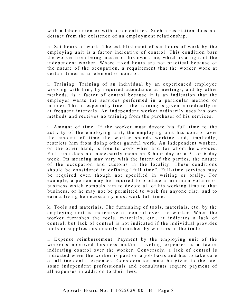with a labor union or with other entities. Such a restriction does not detract from the existence of an employment relationship.

h. Set hours of work. The establishment of set hours of work by the employing unit is a factor indicative of control. This condition bars the worker from being master of his own time, which is a right of the independent worker. Where fixed hours are not practical because of the nature of the occupation, a requirement that the worker work at certain times is an element of control.

i. Training. Training of an individual by an experienced employee working with him, by required attendance at meetings, and by other methods, is a factor of control because it is an indication that the employer wants the services performed in a particular method or manner. This is especially true if the training is given periodically or at frequent intervals. An independent worker ordinarily uses his own methods and receives no training from the purchaser of his services.

j. Amount of time. If the worker must devote his full time to the activity of the employing unit, the employing unit has control over the amount of time the worker spends working and, impliedly, restricts him from doing other gainful work. An independent worker, on the other hand, is free to work when and for whom he chooses. Full time does not necessarily mean an 8-hour day or a 5- or 6-day week. Its meaning may vary with the intent of the parties, the nature of the occupation and customs in the locality. These conditions should be considered in defining "full time". Full-time services may be required even though not specified in writing or orally. For example, a person may be required to produce a minimum volume of business which compels him to devote all of his working time to that business, or he may not be permitted to work for anyone else, and to earn a living he necessarily must work full time.

k. Tools and materials. The furnishing of tools, materials, etc. by the employing unit is indicative of control over the worker. When the worker furnishes the to ols, materials, etc., it indicates a lack of control, but lack of control is not indicated if the individual provides tools or supplies customarily furnished by workers in the trade.

l. Expense reimbursement. Payment by the employing unit of the worker's approved business and/or traveling expenses is a factor indicating control over the worker. Conversely, a lack of control is indicated when the worker is paid on a job basis and has to take care of all incidental expenses. Consideration must be given to the fact some independent professionals and consultants require payment of all expenses in addition to their fees.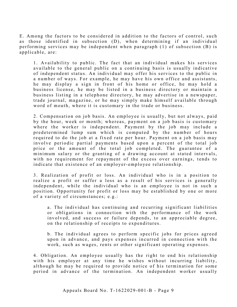E . Among the factors to be considered in addition to the factors of control, such as those identified in subsection (D), when determining if an individual performing services may be independent when paragraph (1) of subsection (B) is applicable, are:

1 . Availability to public. The fact that an individual makes his services available to the general public on a continuing basis is usually indicative of independent status. An individual may offer his services to the public in a number of ways. For example, he may have his own office and assistants, he may display a sign in front of his home or office, he may hold a business license, he may be listed in a business directory or maintain a business listing in a telephone directory, he may advertise in a newspaper, trade journal, magazine, or he may simply make himself available through word of mouth, where it is customary in the trade or business.

2 . Compensation on job basis. An employee is usually, but not always, paid by the hour, week or month; whereas, payment on a job basis is customary where the worker is independent. Payment by the job may include a predetermined lump sum which is computed by the number of hours required to do the job at a fixed rate per hour. Payment on a job basis may involve periodic partial payments based upon a percent of the total job price or the amount of the total job completed. The guarantee of a minimum salary or the granting of a drawing account at stated intervals, with no requirement for repayment of the excess over earnings, tends to indicate that existence of an employer-employee relationship.

3. Realization of profit or loss. An individual who is in a position to realize a profit or suffer a loss as a result of his services is generally independent, while the individual who is an employee is not in such a position. Opportunity for profit or loss may be established by one or more of a variety of circumstances; e.g.:

a. The individual has continuing and recurring significant liabilities or obligations in connection with the performance of the work involved, and success or failure depends, to an appreciable degree, on the relationship of receipts to expenditures.

b. The individual agrees to perform specific jobs for prices agreed upon in advance, and pays expenses incurred in connection with the work, such as wages, rents or other significant operating expenses.

4. Obligation. An employee usually has the right to end his relationship with his employer at any time he wishes without incurring liability, although he may be required to provide notice of his termination for some period in advance of the termination. An independent worker usually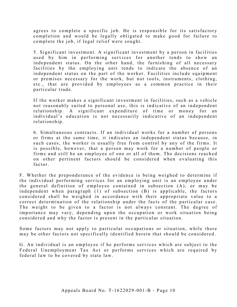agrees to complete a specific job. He is responsible for its satisfactory completion and would be legally obligated to make good for failure to complete the job, if legal relief were sought.

5. Significant investment. A significant investment by a person in facilities used by him in performing services for another tends to show an independent status. On the other hand, the furnishing of all necessary facilities by the employing unit tends to indicate the absence of an independent status on the part of the worker. Facilities include equipment or premises necessary for the work, but not tools, instruments, clothing, etc., that are provided by employees as a common practice in their particular trade.

If the worker makes a significant investment in facilities, such as a vehicle not reasonably suited to personal use, this is indicative of an independent relationship. A significant expenditure of time or money for an individual's education is not necessarily indicative of an independent relationship.

6. Simultaneous contracts. If an individual works for a number of persons or firms at the same time, it indicates an independent status because, in such cases, the worker is usually free from control by any of the firms. It is possible, however, that a person may work for a number of people or firms and still be an employee of one or all of them. The decisions reached on other pertinent factors should be considered when evaluating this factor.

F. Whether the preponderance of the evidence is being weighed to determine if the individual performing services for an employing unit is an employee under the general definition of employee contained in subsection (A), or may be independent when paragraph (1) of subsection (B) is applicable, the factors considered shall be weighed in accordance with their appropriate value to a correct determination of the relationship under the facts of the particular case. The weight to be given to a factor is not always constant. The degree of importance may vary, depending upon the occupation or work situation being considered and why the factor is present in the particular situation.

Some factors may not apply to particular occupations or situation, while there may be other factors not specifically identified herein that should be considered.

G . An individual is an employee if he performs services which are subject to the Federal Unemployment Tax Act or performs services which are required by federal law to be covered by state law.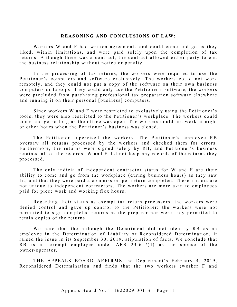#### **R EASONING AND CONCLUSIONS OF LAW:**

Workers W and F had written agreements and could come and go as they liked, within limitations, and were paid solely upon the completion of tax returns. Although there was a contract, the contract allowed either party to end the business relationship without notice or penalty.

In the processing of tax returns, the workers were required to use the Petitioner's computers and software exclusively. The workers could not work remotely, and they could not put a copy of the software on their own business computers or laptops. They could only use the Petitioner's software; the workers were precluded from purchasing professional tax preparation software elsewhere and running it on their personal [business] computers.

Since workers W and F were restricted to exclusively using the Petitioner's tools, they were also restricted to the Petitioner's workplace. The workers could come and go so long as the office was open. The workers could not work at night or other hours when the Petitioner's business was closed.

The Petitioner supervised the workers. The Petitioner's employee RB oversaw all returns processed by the workers and checked them for errors. Furthermore, the returns were signed solely by RB, and Petitioner's business retained all of the records; W and F did not keep any records of the returns they processed.

The only indicia of independent contractor status for W and F are their ability to come and go from the workplace (during business hours) as they saw fit, and that they were paid a commission per return completed. These indicia are not unique to independent contractors. The workers are more akin to employees paid for piece work and working flex hours.

Regarding their status as exempt tax return processors, the workers were denied control and gave up control to the Petitioner: the workers were not permitted to sign completed returns as the preparer nor were they permitted to retain copies of the returns.

We note that the although the Department did not identify RB as an employee in the Determination of Liability or Reconsidered Determination, it raised the issue in its September 30, 2019, stipulation of facts. We conclude that RB is an exempt employee under ARS 23 -617(4) as the spouse of the owner/operator.

THE APPEALS BOARD **AFFIRMS** the Department's February 4, 2019, Reconsidered Determination and finds that the two workers (worker F and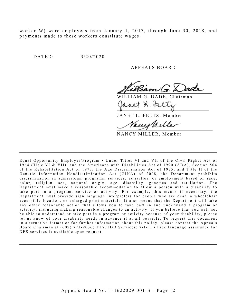worker W) were employees from January 1, 2017, through June 30, 2018, and payments made to these workers constitute wages.

DATED: 3/20/2020

A PPEALS BOARD

WILLIAM G. DADE, Chairman avet L. Feltz

JANET L. FELTZ, Member

Vanns

NANCY MILLER, Member

Equal Opportunity Employer/Program • Under Titles VI and VII of the Civil Rights Act of 1964 (Title VI & VII), and the Americans with Disabilities Act of 1990 (ADA), Section 504 of the Rehabilitation Act of 1973, the Age Discrimination Act of 1975, and Title II of the Genetic Information Nondiscrimination Act (GINA) of 2008, the Department prohibits discrimination in admissions, programs, services, activities, or employment based on race, color, religion, sex, national origin, age, disability, genetics and retaliation. The Department must make a reasonable accommodation to allow a person with a disability to take part in a program, service or activity. For example, this means if necessary, the Department must provide sign language interpreters for people who are deaf, a wheelchair accessible location, or enlarged print materials. It also means that the Department will take any other reasonable action that allows you to take part in and understand a program or activity, including making reasonable changes to an activity. If you believe that you will not be able to understand or take part in a program or activity because of your disability, please let us know of your disability needs in advance if at all possible. To request this document in alternative format or for further information about this policy, please contact the Appeals Board Chairman at (602) 771-9036; TTY/TDD Services: 7-1-1. • Free language assistance for DES services is available upon request.

 $\mathcal{L}_\mathcal{L}$  , and the contribution of the contribution of the contribution of the contribution of the contribution of the contribution of the contribution of the contribution of the contribution of the contribution of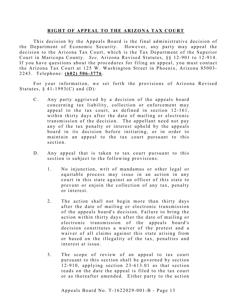#### **RIGHT OF APPEAL TO THE ARIZONA TAX COURT**

This decision by the Appeals Board is the final administrative decision of the Department of Economic Security. However, any party may appeal the decision to the Arizona Tax Court, which is the Tax Department of the Superior Court in Maricopa County. *See*, Arizona Revised Statutes, §§ 12-901 to 12-914. If you have questions about the procedures for filing an appeal, you must contact the Arizona Tax Court at 125 W. Washington Street in Phoenix, Arizona 85003 - 2243. Telephone: **(602) 506 - 3776** .

For your information, we set forth the provisions of Arizona Revised Statutes,  $§$  41-1993(C) and (D):

- C. Any party aggrieved by a decision of the appeals board concerning tax liability, collection or enforcement may appeal to the tax court, as defined in section 12-161, within thirty days after the date of mailing or electronic transmission of the decision. The appellant need not pay any of the tax penalty or interest upheld by the appeals board in its decision before initiating, or in order to maintain an appeal to the tax court pursuant to this section.
- D. Any appeal that is taken to tax court pursuant to this section is subject to the following provisions:
	- 1. No injunction, writ of mandamus or other legal or equitable process may issue in an action in any court in this state against an officer of this state to prevent or enjoin the collection of any tax, penalty or interest.
	- 2. The action shall not begin more than thirty days after the date of mailing or electronic transmission of the appeals board's decision. Failure to bring the action within thirty days after the date of mailing or electronic transmission of the appeals board's decision constitutes a waiver of the protest and a waiver of all claims against this state arising from or based on the illegality of the tax, penalties and interest at issue.
	- 3. The scope of review of an appeal to tax court pursuant to this section shall be governed by section  $12 - 910$ , applying section  $23 - 613.01$  as that section reads on the date the appeal is filed to the tax court or as thereafter amended. Either party to the action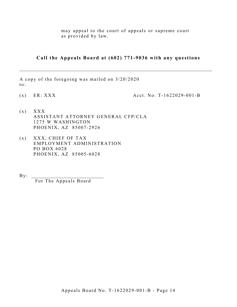may appeal to the court of appeals or supreme court as provided by law.

**Call the Appeals Board at (602) 771-9036 with any questions**

 $\_$  , and the set of the set of the set of the set of the set of the set of the set of the set of the set of the set of the set of the set of the set of the set of the set of the set of the set of the set of the set of th

A copy of the foregoing was mailed on 3/20/2020 to:

(x) ER:  $XXX$  Acct. No: T-1622029-001-B

- $(x)$   $XXX$ ASSISTANT ATTORNEY GENERAL CFP/CLA 1275 W WASHINGTON PHOENIX, AZ 85007 -2926
- $(x)$  XXX, CHIEF OF TAX EMPLOYMENT ADMINISTRATION PO BOX 6028 PHOENIX, AZ 85005 -6028

 $By:$ For The Appeals Board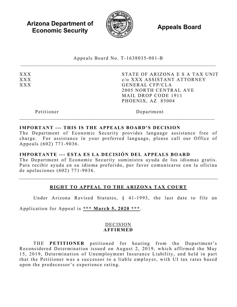**Arizona Department of Economic Security Appeals Board** *Appeals Board* 



Appeals Board No. T - 1638035 -001 -B

XXX XXX XXX STATE OF ARIZONA E S A TAX UNIT c/o XXX ASSISTANT ATTORNEY GENERAL CFP/CLA 2005 NORTH CENTRAL AVE MAIL DROP CODE 1911 PHOENIX, AZ 85004

Petitioner Department

# **IMPORTANT --- THIS IS THE APPEALS BOARD'S DECISION**

The Department of Economic Security provides language assistance free of charge. For assistance in your preferred language, please call our Office of Appeals (602) 771 -9036 .

# **IMPORTANTE --- ESTA ES LA DECISIÓN DEL APPEALS BOARD**

The Department of Economic Security suministra ayuda de los idiomas gratis. Para recibir ayuda en su idioma preferido, por favor comunicarse con la oficina de apelaciones (602) 771 - 9036 .

# **RIGHT TO APPEAL TO THE ARIZONA TAX COURT**

Under Arizona Revised Statutes, § 41-1993, the last date to file an

Application for Appeal is **\*\*\* March 5, 2020 \*\*\***.

#### DECISION **AFFIRMED**

THE **PETITIONER** petitioned for hearing from the Department's Reconsidered Determination issued on August 2, 2019, which affirmed the May 15, 2019, Determination of Unemployment Insurance Liability, and held in part that the Petitioner was a successor to a liable employer, with UI tax rates based upon the predecessor's experience rating .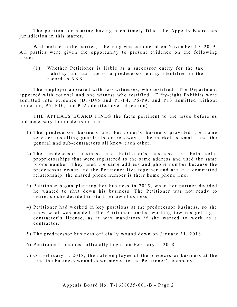The petition for hearing having been timely filed, the Appeals Board has jurisdiction in this matter.

With notice to the parties, a hearing was conducted on November 19, 2019. All parties were given the opportunity to present evidence on the following issue:

(1) Whether Petitioner is liable as a successor entity for the tax liability and tax rate of a predecessor entity identified in the record as XXX.

The Employer appeared with two witnesses, who testified. The Department appeared with counsel and one witness who testified. Fifty-eight Exhibits were admitted into evidence (D1 -D45 and P1 -P4, P6-P9, and P13 admitted without objection, P5, P10, and P12 admitted over objection ).

THE APPEALS BOARD FINDS the facts pertinent to the issue before us and necessary to our decision are:

- 1) The predecessor business and Petitioner's business provided the same service: installing guardrails on roadways. The market is small, and the general and sub-contractors all know each other.
- 2) The predecessor business and Petitioner's business are both soleproprietorships that were registered to the same address and used the same phone number. They used the same address and phone number because the predecessor owner and the Petitioner live together and are in a committed relationship; the shared phone number is their home phone line.
- 3 ) Petitioner began planning her business in 2015, when her partner decided he wanted to shut down his business. The Petitioner was not ready to retire, so she decided to start her own business.
- 4) Petitioner had worked in key positions at the predecessor business, so she knew what was needed. The Petitioner started working towards getting a contractor's license, as it was mandatory if she wanted to work as a contractor.
- 5 ) The predecessor business officially wound down on January 31, 2018.
- 6 ) Petitioner's business officially began on February 1, 2018.
- 7) On February 1, 2018, the sole employee of the predecessor business at the time the business wound down moved to the Petitioner's company.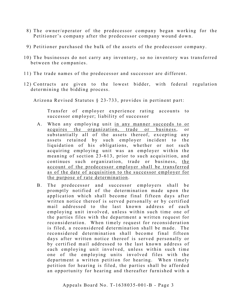- 8) The owner/operator of the predecessor company began working for the Petitioner's company after the predecessor company wound down.
- 9 ) Petitioner purchased the bulk of the assets of the predecessor company.
- 10) The businesses do not carry any inventory, so no inventory was transferred between the companies.
- 11) The trade names of the predecessor and successor are different.
- 12) Contracts are given to the lowest bidder, with federal regulation determining the bidding process.

Arizona Revised Statutes § 23 -733, provides in pertinent part:

Transfer of employer experience rating accounts to successor employer; liability of successor

- A. When any employing unit in any manner succeeds to or acquires the organization, trade or business, or substantially all of the assets thereof, excepting any assets retained by such employer incident to the liquidation of his obligations, whether or not such acquiring employing unit was an employer within the meaning of section 23-613, prior to such acquisition, and continues such organization, trade or business, the account of the predecessor employer shall be transferred as of the date of acquisition to the successor employer for the purpose of rate determination.
- B. The predecessor and successor employers shall be promptly notified of the determination made upon the application which shall become final fifteen days after written notice thereof is served personally or by certified mail addressed to the last known address of each employing unit involved, unless within such time one of the parties files with the department a written request for reconsideration. When timely request for reconsideration is filed, a reconsidered determination shall be made. The reconsidered determination shall become final fifteen days after written notice thereof is served personally or by certified mail addressed to the last known address of each employing unit involved, unless within such time one of the employing units involved files with the department a written petition for hearing. When timely petition for hearing is filed, the parties shall be afforded an opportunity for hearing and thereafter furnished with a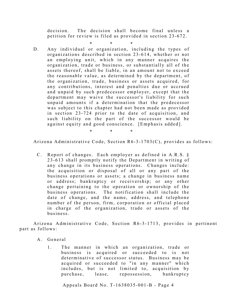decision. The decision shall become final unless a petition for review is filed as provided in section 23 -672.

- \* \* \*
- D. Any individual or organization, including the types of organizations described in section 23 -614, whether or not an employing unit, which in any manner acquires the organization, trade or business, or substantially all of the assets thereof, shall be liable, in an amount not to exceed the reasonable value, as determined by the department, of the organization, trade, business or assets acquired, for any contributions, interest and penalties due or accrued and unpaid by such predecessor employer, except that the department may waive the successor's liability for such unpaid amounts if a determination that the predecessor was subject to this chapter had not been made as provided in section 23-724 prior to the date of acquisition, and such liability on the part of the successor would be against equity and good conscience. [Emphasis added].

\* \* \*

Arizona Administrative Code, Section R6-3-1703(C), provides as follows:

C. Report of changes. Each employer as defined in A.R.S. § 2 3 -613 shall promptly notify the Department in writing of any change in its business operations. Changes include: the acquisition or disposal of all or any part of the business operations or assets; a change in business name or address; bankruptcy or receivership; or any other change pertaining to the operation or ownership of the business operations. The notification shall include the date of change, and the name, address, and telephone number of the person, firm, corporation or official placed in charge of the organization, trade or assets of the business.

Arizona Administrative Code, Section R6-3-1713, provides in pertinent part as follows:

- A. General
	- 1. The manner in which an organization, trade or business is acquired or succeeded to is not determinative of successor status. Business may be acquired or succeeded to "in any manner" which includes, but is not limited to, acquisition by purchase, lease, repossession, bankruptcy

Appeals Board No. T- 1638035 -001 -B - Page 4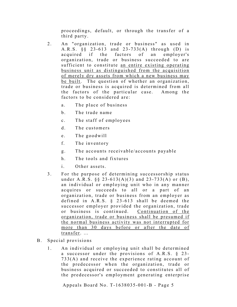proceedings, default, or through the transfer of a third party.

- 2. An "organization, trade or business" as used in A.R.S. §§ 23-613 and 23-733(A) through (D) is acquired if the factors of an employer's organization, trade or business succeeded to are sufficient to constitute an entire existing operating business unit as distinguished from the acquisition of merely dry assets from which a new business may be built. The question of whether an organization, trade or business is acquired is determined from all the factors of the particular case. Among the factors to be considered are:
	- a. The place of business
	- b. The trade name
	- c. The staff of employees
	- d. The customers
	- e. The goodwill
	- f. The inventory
	- g. The accounts receivable/accounts payable
	- h. The tools and fixtures
	- i. Other assets.
- 3. For the purpose of determining successorship status under A.R.S.  $\S$  23-613(A)(3) and 23-733(A) or (B), an individual or employing unit who in any manner acquires or succeeds to all or a part of an organization, trade or business from an employer as defined in  $A.R.S. \S$  23-613 shall be deemed the successor employer provided the organization, trade or business is continued. Continuation of the organization, trade or business shall be presumed if the normal business activity was not interrupted for more than 30 days before or after the date of transfer. …
- B. Special provisions
	- 1. An individual or employing unit shall be determined a successor under the provisions of A.R.S.  $\S$  23-733(A) and receive the experience rating account of the predecessor when the organization, trade or business acquired or succeeded to constitutes all of the predecessor's employment generating enterprise

Appeals Board No. T- 1638035 -001 -B - Page 5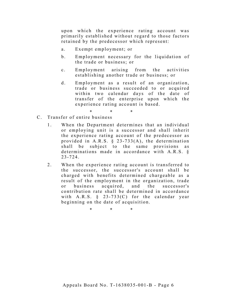upon which the experience rating account was p rimarily established without regard to those factors retained by the predecessor which represent:

- a. Exempt employment; or
- b. Employment necessary for the liquidation of the trade or business; or
- c. Employment arising from the activities establishing another trade or business; or
- d. Employment as a result of an organization, trade or business succeeded to or acquired within two calendar days of the date of transfer of the enterprise upon which the experience rating account is based.

\* \* \*

- C. Transfer of entire business
	- 1. When the Department determines that an individual or employing unit is a successor and shall inherit the experience rating account of the predecessor as provided in A.R.S.  $\S$  23-733(A), the determination shall be subject to the same provisions as determinations made in accordance with A.R.S. § 2 3 -724.
	- 2. When the experience rating account is transferred to the successor, the successor's account shall be charged with benefits determined chargeable as a result of the employment in the organization, trade or business acquired, and the successor's contribution rate shall be determined in accordance with A.R.S.  $\S$  23-733(C) for the calendar year beginning on the date of acquisition.

\* \* \*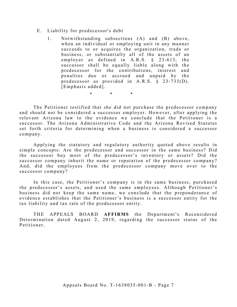- E. Liability for predecessor's debt
	- 1. Notwithstanding subsections (A) and (B) above, when an individual or employing unit in any manner succeeds to or acquires the organization, trade or business, or substantially all of the assets of an employer as defined in A.R.S. § 23 -613, the successor shall be equally liable along with the predecessor for the contributions, interest and penalties due or accrued and unpaid by the predecessor as provided in A.R.S. § 23 -733(D). [Emphasis added].

\* \* \*

The Petitioner testified that she did not purchase the predecessor company and should not be considered a successor employer. However, after applying the relevant Arizona law to the evidence we conclude that the Petitioner is a successor. The Arizona Administrative Code and the Arizona Revised Statutes set forth criteria for determining when a business is considered a successor company.

Applying the statutory and regulatory authority quoted above results in simple concepts: Are the predecessor and successor in the same business? Did the successor buy most of the predecessor's inventory or assets? Did the successor company inherit the name or reputation of the predecessor company? And, did the employees from the predecessor company move over to the successor company?

In this case, the Petitioner's company is in the same business, purchased the predecessor's assets, and used the same employees. Although Petitioner's business did not keep the same name, we conclude that the preponderance of evidence establishes that the Petitioner's business is a successor entity for the tax liability and tax rate of the predecessor entity .

THE APPEALS BOARD **AFFIRMS** the Department's Reconsidered Determination dated August 2, 2019, regarding the successor status of the Petitioner.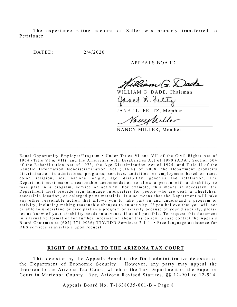The experience rating account of Seller was properly transferred to Petitioner.

DATED: 2/4/2020

#### A PPEALS BOARD

WILLIAM G. DADE, Chairman

JANET L. FELTZ, Member

Vacustiller

NANCY MILLER, Member

Equal Opportunity Employer/Program • Under Titles VI and VII of the Civil Rights Act of 1964 (Title VI & VII), and the Americans with Disabilities Act of 1990 (ADA), Section 504 of the Rehabilitation Act of 1973, the Age Discrimination Act of 1975, and Title II of the Genetic Information Nondiscrimination Act (GINA) of 2008, the Department prohibits discrimination in admissions, programs, services, activities, or employment based on race, color, religion, sex, national origin, age, disability, genetics and retaliation. The Department must make a reasonable accommodation to allow a person with a disability to take part in a program, service or activity. For example, this means if necessary, the Department must provide sign language interpreters for people who are deaf, a wheelchair accessible location, or enlarged print materials. It also means that the Department will take any other reasonable action that allows you to take part in and understand a program or activity, including making reasonable changes to an activity. If you believe that you will not b e able to understand or take part in a program or activity because of your disability, please let us know of your disability needs in advance if at all possible. To request this document in alternative format or for further information about this policy, please contact the Appeals Board Chairman at (602) 771-9036; TTY/TDD Services: 7-1-1. • Free language assistance for DES services is available upon request.

 $\_$ 

#### **RIGHT OF APPEAL TO THE ARIZONA TAX COURT**

This decision by the Appeals Board is the final administrative decision of the Department of Economic Security. However, any party may appeal the decision to the Arizona Tax Court, which is the Tax Department of the Superior Court in Maricopa County. *See*, Arizona Revised Statutes, §§ 12-901 to 12-914.

Appeals Board No. T- 1638035 -001 -B - Page 8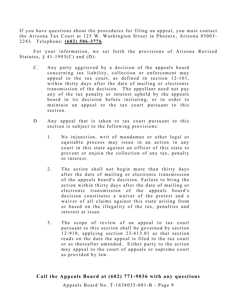If you have questions about the procedures for filing an appeal, you must contact the Arizona Tax Court at 125 W. Washington Street in Phoenix, Arizona 85003-2243. Telephone: **(602) 506 - 3776** .

For your information, we set forth the provisions of Arizona Revised Statutes,  $§$  41-1993(C) and (D):

- C. Any party aggrieved by a decision of the appeals board concerning tax liability, collection or enforcement may appeal to the tax court, as defined in section 12-161, within thirty days after the date of mailing or electronic transmission of the decision. The appellant need not pay any of the tax penalty or interest upheld by the appeals board in its decision before initiating, or in order to maintain an appeal to the tax court pursuant to this section.
- D. Any appeal that is taken to tax court pursuant to this section is subject to the following provisions:
	- 1. No injunction, writ of mandamus or other legal or equitable process may issue in an action in any court in this state against an officer of this state to prevent or enjoin the collection of any tax, penalty or interest.
	- 2. The action shall not begin more than thirty days after the date of mailing or electronic transmission of the appeals board's decision. Failure to bring the action within thirty days after the date of mailing or electronic transmission of the appeals board's decision constitutes a waiver of the protest and a waiver of all claims against this state arising from or based on the illegality of the tax, penalties and interest at issue.
	- 3. The scope of review of an appeal to tax court pursuant to this section shall be governed by section 1 2 -910, applying section 23- 613.01 as that section reads on the date the appeal is filed to the tax court or as thereafter amended. Either party to the action may appeal to the court of appeals or supreme court as provided by law.

# **Call the Appeals Board at (602) 771-9036 with any questions**

Appeals Board No. T- 1638035 -001 -B - Page 9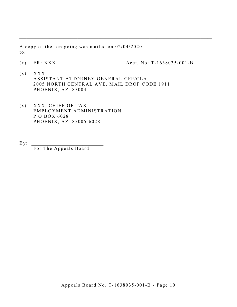A copy of the foregoing was mailed on 02/04/2020 to:

(x) ER:  $XXX$  Acct. No: T-1638035-001-B

 $(x)$   $XXX$ ASSISTANT ATTORNEY GENERAL CFP/CLA 2005 NORTH CENTRAL AVE, MAIL DROP CODE 1911 PHOENIX, AZ 85004

 $\_$  , and the set of the set of the set of the set of the set of the set of the set of the set of the set of the set of the set of the set of the set of the set of the set of the set of the set of the set of the set of th

- $(x)$  XXX, CHIEF OF TAX EMPLOYMENT ADMINISTRATION P O BOX 6028 PHOENIX, AZ 85005 -6028
- $By:$ For The Appeals Board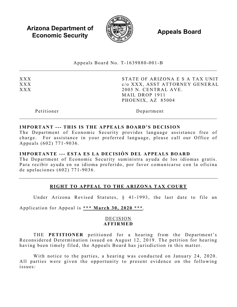**Arizona Department of Economic Security Appeals Board**<br> **Economic Security** 



Appeals Board No. T- 1639880 -001 -B  $\mathcal{L}_\mathcal{L}$  , and the contribution of the contribution of the contribution of the contribution of the contribution of the contribution of the contribution of the contribution of the contribution of the contribution of

XXX XXX XXX STATE OF ARIZONA E S A TAX UNIT c/o XXX, ASST ATTORNEY GENERAL 2005 N. CENTRAL AVE. MAIL DROP 1911 PHOENIX, AZ 85004

Petitioner Department

#### **IMPORTANT --- THIS IS THE APPEALS BOARD'S DECISION**

The Department of Economic Security provides language assistance free of charge. For assistance in your preferred language, please call our Office of Appeals (602) 771 -9036 .

#### **IMPORTANTE --- ESTA ES LA DECISIÓN DEL APPEALS BOARD**

The Department of Economic Security suministra ayuda de los idiomas gratis. Para recibir ayuda en su idioma preferido, por favor comunicarse con la oficina de apelaciones (602) 771 - 9036 .

# **RIGHT TO APPEAL TO THE ARIZONA TAX COURT**

Under Arizona Revised Statutes, § 41-1993, the last date to file an

Application for Appeal is **\*\*\* March 30, 2020 \*\*\*** .

# DECISION **AFFIRMED**

THE **PETITIONER** petitioned for a hearing from the Department's Reconsidered Determination issued on August 12, 2019. The petition for hearing having been timely filed, the Appeals Board has jurisdiction in this matter.

With notice to the parties, a hearing was conducted on January 24, 2020. All parties were given the opportunity to present evidence on the following issues: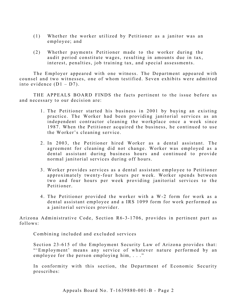- (1) Whether the worker utilized by Petitioner as a janitor was an employee; and
- (2) Whether payments Petitioner made to the worker during the audit period constitute wages, resulting in amounts due in tax, interest, penalties, job training tax, and special assessments.

The Employer appeared with one witness. The Department appeared with counsel and two witnesses, one of whom testified. Seven exhibits were admitted into evidence  $(D1 - D7)$ .

THE APPEALS BOARD FINDS the facts pertinent to the issue before us and necessary to our decision are:

- 1. The Petitioner started his business in 2001 by buying an existing practice. The Worker had been providing janitorial services as an independent contractor cleaning the workplace once a week since 1987. When the Petitioner acquired the business, he continued to use the Worker's cleaning service.
- 2 . In 2003, the Petitioner hired Worker as a dental assistant. The agreement for cleaning did not change. Worker was employed as a dental assistant during business hours and continued to provide normal janitorial services during off hours.
- 3. Worker provides services as a dental assistant employee to Petitioner approximately twenty -four hours per week. Worker spends between two and four hours per week providing janitorial services to the Petitioner.
- 4 . The Petitioner provided the worker with a W-2 form for work as a dental assistant employee and a IRS 1099 form for work performed as a janitorial services provider.

Arizona Administrative Code, Section R6-3-1706, provides in pertinent part as follows:

Combining included and excluded services

Section 23 -615 of the Employment Security Law of Arizona provides that: "'Employment' means any service of whatever nature performed by an employee for the person employing him, . . ."

In conformity with this section, the Department of Economic Security prescribes: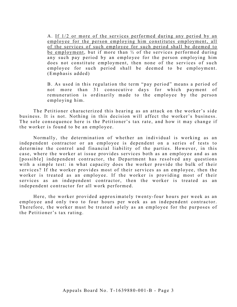A. If 1/2 or more of the services performed during any period by an employee for the person employing him constitutes employment, all of the services of such employee for such period shall be deemed to be employment, but if more than ½ of the services performed during any such pay period by an employee for the person employing him does not constitute employment, then none of the services of such employee for such period shall be deemed to be employment. (Emphasis added)

B. As used in this regulation the term "pay period" means a period of not more than 31 consecutive days for which payment of remuneration is ordinarily made to the employee by the person employing him.

The Petitioner characterized this hearing as an attack on the worker's side business. It is not. Nothing in this decision will affect the worker's business. The sole consequence here is the Petitioner's tax rate, and how it may change if the worker is found to be an employee.

Normally, the determination of whether an individual is working as an independent contractor or an employee is dependent on a series of tests to determine the control and financial liability of the parties. However, in this case, where the worker at issue provides services both as an employee and as an [possible] independent contractor, the Department has resolved any questions with a simple test: in what capacity does the worker provide the bulk of their services? If the worker provides most of their services as an employee, then the worker is treated as an employee. If the worker is providing most of their services as an independent contractor, then the worker is treated as an independent contractor for all work performed.

Here, the worker provided approximately twenty-four hours per week as an employee and only two to four hours per week as an independent contractor. Therefore, the worker must be treated solely as an employee for the purposes of the Petitioner's tax rating.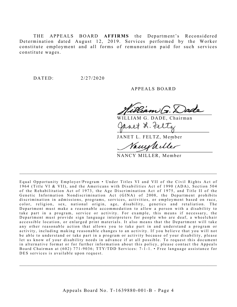THE APPEALS BOARD **AFFIRMS** the Department's Reconsidered Determination dated August 12, 2019. Services performed by the Worker constitute employment and all forms of remuneration paid for such services constitute wages.

DATED: 2/27/2020

APPEALS BOARD

 $(ann)(\pi)$ 

WILLIAM G. DADE, Chairman anet L. Fel

JANET L. FELTZ, Member

Vanishiller

NANCY MILLER, Member

Equal Opportunity Employer/Program • Under Titles VI and VII of the Civil Rights Act of 1964 (Title VI & VII), and the Americans with Disabilities Act of 1990 (ADA), Sec tion 504 of the Rehabilitation Act of 1973, the Age Discrimination Act of 1975, and Title II of the Genetic Information Nondiscrimination Act (GINA) of 2008, the Department prohibits discrimination in admissions, programs, services, activities, or employment based on race, color, religion, sex, national origin, age, disability, genetics and retaliation. The Department must make a reasonable accommodation to allow a person with a disability to take part in a program, service or activity. For example, this me ans if necessary, the Department must provide sign language interpreters for people who are deaf, a wheelchair accessible location, or enlarged print materials. It also means that the Department will take any other reasonable action that allows you to take part in and understand a program or activity, including making reasonable changes to an activity. If you believe that you will not be able to understand or take part in a program or activity because of your disability, please let us know of your disability needs in advance if at all possible. To request this document in alternative format or for further information about this policy, please contact the Appeals Board Chairman at (602) 771-9036; TTY/TDD Services: 7-1-1. • Free language assistance for DES services is available upon request.

 $\mathcal{L}_\mathcal{L}$  , and the contribution of the contribution of the contribution of the contribution of the contribution of the contribution of the contribution of the contribution of the contribution of the contribution of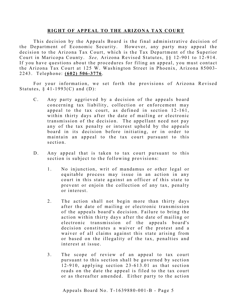#### **RIGHT OF APPEAL TO THE ARIZONA TAX COURT**

This decision by the Appeals Board is the final administrative decision of the Department of Economic Security. However, any party may appeal the decision to the Arizona Tax Court, which is the Tax Department of the Superior Court in Maricopa County. *See*, Arizona Revised Statutes, §§ 12-901 to 12-914. If you have questions about the procedures for filing an appeal, you must contact the Arizona Tax Court at 125 W. Washington Street in Phoenix, Arizona 85003 - 2243. Telephone: **(602) 506 - 3776** .

For your information, we set forth the provisions of Arizona Revised Statutes,  $§$  41-1993(C) and (D):

- C. Any party aggrieved by a decision of the appeals board concerning tax liability, collection or enforcement may appeal to the tax court, as defined in section 12-161, within thirty days after the date of mailing or electronic transmission of the decision. The appellant need not pay any of the tax penalty or interest upheld by the appeals board in its decision before initiating, or in order to maintain an appeal to the tax court pursuant to this section.
- D. Any appeal that is taken to tax court pursuant to this section is subject to the following provisions:
	- 1. No injunction, writ of mandamus or other legal or equitable process may issue in an action in any court in this state against an officer of this state to prevent or enjoin the collection of any tax, penalty or interest.
	- 2. The action shall not begin more than thirty days after the date of mailing or electronic transmission of the appeals board's decision. Failure to bring the action within thirty days after the date of mailing or electronic transmission of the appeals board's decision constitutes a waiver of the protest and a waiver of all claims against this state arising from or based on the illegality of the tax, penalties and interest at issue.
	- 3. The scope of review of an appeal to tax court pursuant to this section shall be governed by section  $12-910$ , applying section  $23-613.01$  as that section reads on the date the appeal is filed to the tax court or as thereafter amended. Either party to the action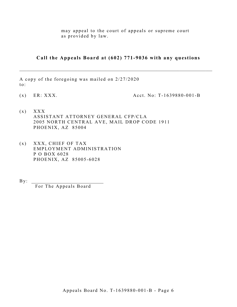may appeal to the court of appeals or supreme court as provided by law.

**Call the Appeals Board at (602) 771-9036 with any questions**

 $\_$  , and the set of the set of the set of the set of the set of the set of the set of the set of the set of the set of the set of the set of the set of the set of the set of the set of the set of the set of the set of th

A copy of the foregoing was mailed on 2/27/2020 to:

(x) ER: XXX. Acct. No: T- 1639880 -001 -B

- $(x)$   $XXX$ ASSISTANT ATTORNEY GENERAL CFP/CLA 2005 NORTH CENTRAL AVE, MAIL DROP CODE 1911 PHOENIX, AZ 85004
- $(x)$  XXX, CHIEF OF TAX EMPLOYMENT ADMINISTRATION P O BOX 6028 PHOENIX, AZ 85005 -6028
- $\mathbf{By:}$

For The Appeals Board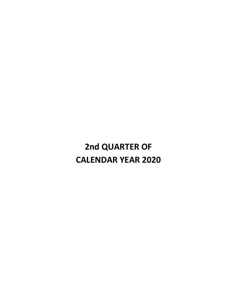**2nd QUARTER OF CALENDAR YEAR 2020**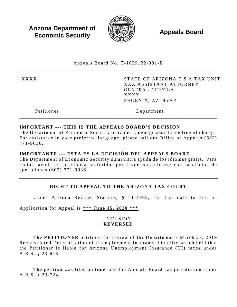**Arizona Department of Economic Security** 



**Appeals Board** 

Appeals Board No. T-1629122-001-B

**XXXX** 

STATE OF ARIZONA E S A TAX UNIT **XXX ASSISTANT ATTORNEY GENERAL CFP/CLA XXXX** PHOENIX, AZ 85004

Petitioner

Department

# **IMPORTANT --- THIS IS THE APPEALS BOARD'S DECISION**

The Department of Economic Security provides language assistance free of charge. For assistance in your preferred language, please call our Office of Appeals (602) 771-9036.

# IMPORTANTE --- ESTA ES LA DECISIÓN DEL APPEALS BOARD

The Department of Economic Security suministra ayuda de los idiomas gratis. Para recibir ayuda en su idioma preferido, por favor comunicarse con la oficina de apelaciones (602) 771-9036.

# RIGHT TO APPEAL TO THE ARIZONA TAX COURT

Under Arizona Revised Statutes, § 41-1993, the last date to file an

Application for Appeal is \*\*\* June 15, 2020 \*\*\*.

# **DECISION REVERSED**

The PETITIONER petitions for review of the Department's March 27, 2019 Reconsidered Determination of Unemployment Insurance Liability which held that the Petitioner is liable for Arizona Unemployment Insurance (UI) taxes under A.R.S. § 23-613.

The petition was filed on time, and the Appeals Board has jurisdiction under A.R.S. § 23-724.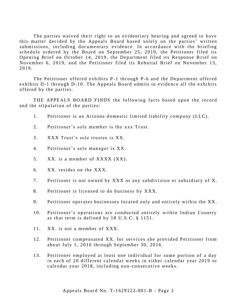The parties waived their right to an evidentiary hearing and agreed to have this matter decided by the Appeals Board based solely on the parties' written submissions, including documentary evidence. In accordance with the briefing schedule ordered by the Board on September 25, 2019, the Petitioner filed its Opening Brief on October 14, 2019, the Department filed its Response Brief on November 6, 2019, and the Petitioner filed its Rebuttal Brief on November 13, 2019.

The Petitioner offered exhibits P-1 through P-6 and the Department offered exhibits D-1 through D-10. The Appeals Board admits in evidence all the exhibits offered by the parties.

THE APPEALS BOARD FINDS the following facts based upon the record and the stipulation of the parties:

- 1. Petitioner is an Arizona domestic limited liability company (LLC).
- 2. Petitioner's sole member is the xxx Trust.
- 3. XXX Trust's sole trustee is XX.
- 4. Petitioner's sole manager is XX.
- 5. XX. is a member of XXXX (XX).
- $6.$  XX. resides on the XXX.
- 7. Petitioner is not owned by XXX or any subdivision or subsidiary of X.
- 8. Petitioner is licensed to do business by XXX.
- 9. Petitioner operates businesses located only and entirely within the XX.
- 10. Petitioner's operations are conducted entirely within Indian Country as that term is defined by 18 U.S.C. § 1151.
- 11. XX. is not a member of XXX.
- 12. Petitioner compensated XX. for services she provided Petitioner from about July 1, 2016 through September 30, 2016.
- 13. Petitioner employed at least one individual for some portion of a day in each of 20 different calendar weeks in either calendar year 2019 or calendar year 2018, including non-consecutive weeks.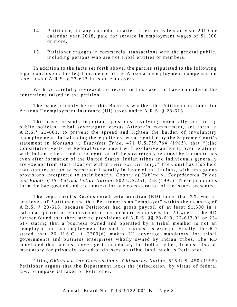- 14. Petitioner, in any calendar quarter in either calendar year 2019 or calendar year 2018, paid for service in employment wages of \$1,500 or more.
- 15. Petitioner engages in commercial transactions with the general public, including persons who are not tribal entities or members.

In addition to the facts set forth above, the parties stipulated to the following legal conclusion: the legal incidence of the Arizona unemployment compensation taxes under  $A.R.S. \S 23-613$  falls on employers.

We have carefully reviewed the record in this case and have considered the contentions raised in the petition.

The issue properly before this Board is whether the Petitioner is liable for Arizona Unemployment Insurance (UI) taxes under A.R.S. § 23-613.

This case presents important questions involving potentially conflicting public policies: tribal sovereignty versus Arizona's commitment, set forth in A.R.S. § 23-601, to prevent the spread and lighten the burden of involuntary unemployment. In balancing these policies, we are guided by the Supreme Court's statement in *Montana v. Blackfeet Tribe*, 471 U.S.759,764 (1985), that "[t]he Constitution vests the Federal Government with exclusive authority over relations with Indian tribes... and in recognition of the sovereignty retained by Indian tribes even after formation of the United States, Indian tribes and individuals generally are exempt from state taxation within their own territory." The Court has also held that statutes are to be construed liberally in favor of the Indians, with ambiguous provisions interpreted to their benefit, *County of Yakima v. Confederated Tribes* and Bands of the Yakima Indian Nation, 502 U.S.251, 258 (1992). These principles form the background and the context for our consideration of the issues presented.

The Department's Reconsidered Determination (RD) found that XX. was an employee of Petitioner and that Petitioner is an "employer" within the meaning of A.R.S. § 23-613, because Petitioner had gross payroll of at least \$1,500 in a calendar quarter or employment of one or more employees for 20 weeks. The RD further found that there are no provisions of A.R.S.  $\S$   $\S$   $23-613$ ,  $23-613.01$  or 23-617 stating that a business owned and operated by a tribal member is not an "employer" or that employment for such a business is exempt. Finally, the RD stated that 26 U.S.C.  $\S$  3309(d) makes UI coverage mandatory for tribal governments and business enterprises wholly owned by Indian tribes. The RD concluded that because coverage is mandatory for Indian tribes, it must also be mand atory for privately owned businesses on tribal land, such as Petitioner.

Citing *Oklahoma Tax Commission v. Chickasaw Nation*, 515 U.S. 450 (1995) Petitioner argues that the Department lacks the jurisdiction, by virtue of federal law, to impose UI taxes on Petitioner.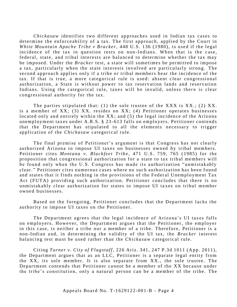*Chickasaw* identifies two different approaches used in Indian tax cases to determine the enforceability of a tax. The first approach, applied by the Court in *White Mountain Apache Tribe v Bracker*, 448 U.S. 136 (1980), is used if the legal incidence of the tax in question rests on non-Indians. When that is the case, federal, state, and tribal interests are balanced to determine whether the tax may be imposed. Under the *Bracker* test, a state will sometimes be permitted to impose a tax, particularly when the state interests involved are particularly strong. The second approach applies only if a tribe or tribal members bear the incidence of the tax. If that is true, a more categorical rule is used: absent clear congressional authorization, a State is without power to tax reservation lands and reservation Indians. Using the categorical rule, taxes will be invalid, unless there is clear congressional authority for the tax.

The parties stipulated that: (1) the sole trustee of the XXX is XX.; (2) XX. is a member of XX; (3) XX. resides on XX; (4) Petitioner operates businesses located only and entirely within the  $XX$ ; and  $(5)$  the legal incidence of the Arizona unemployment taxes under A.R.S. § 23-613 falls on employers. Petitioner contends that the Department has stipulated to all the elements necessary to trigger application of the *Chickasaw* categorical rule.

The final premise of Petitioner's argument is that Congress has not clearly authorized Arizona to impose UI taxes on businesses owned by tribal members. Petitioner cites *Montana v. Blackfeet Tribe*, 471 U.S. 759, 765 (1985) for the proposition that congressional authorization for a state to tax tribal members will be found only when the U.S. Congress has made its authorization "unmistakably clear." Petitioner cites numerous cases where no such authorization has been found and states that it finds nothing in the provisions of the Federal Unemployment Tax Act (FUTA) providing such authorization. Petitioner concludes that there is no unmistakably clear authorization for states to impose UI taxes on tribal member owned businesses.

Based on the foregoing, Petitioner concludes that the Department lacks the authority to impose UI taxes on the Petitioner.

The Department agrees that the legal incidence of Arizona's UI taxes falls on employers. However, the Department argues that the Petitioner, the employer in this case, is neither a tribe nor a member of a tribe. Therefore, Petitioner is a non-Indian and, in determining the validity of the UI tax, the *Bracker* interest balancing test must be used rather than the *Chickasaw* categorical rule.

Citing *Turner v. City of Flagstaff*, 226 Ariz. 341, 247 P.3d 1011 (App. 2011), the Department argues that as an LLC, Petitioner is a separate legal entity from the XX, its sole member. It is also separate from  $XX<sub>1</sub>$ , the sole trustee. The Department contends that Petitioner cannot be a member of the XX because under the tribe's constitution, only a natural person can be a member of the tribe. The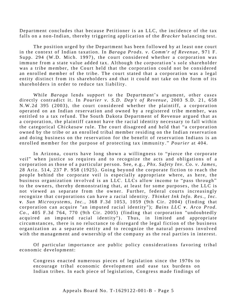Department concludes that because Petitioner is an LLC, the incidence of the tax falls on a non-Indian, thereby triggering application of the *Bracker* balancing test.

The position urged by the Department has been followed by at least one court in the context of Indian taxation. In *Baraga Prods. v. Comm'r of Revenue*, 971 F. Supp. 294 (W.D. Mich. 1997), the court considered whether a corporation was immune from a state value added tax. Although the corporation's sole shareholder was a tribe member, the Court held that the corporation could not be considered an enrolled member of the tribe. The court stated that a corporation was a legal entity distinct from its shareholders and that it could not take on the form of its shareholders in order to reduce tax liability.

While *Baraga* lends support to the Department's argument, other cases directly contradict it. In *Pourier v. S.D. Dep't of Revenue*, 2003 S.D. 21, 658 N.W.2d 395 (2003), the court considered whether the plaintiff, a corporation operated on an Indian reservation and owned by a registered tribe member, was entitled to a tax refund. The South Dakota Department of Revenue argued that as a corporation, the plaintiff cannot have the racial identity necessary to fall within the categorical *Chickasaw* rule. The court disagreed and held that "a corporation owned by the tribe or an enrolled tribal member residing on the Indian reservation and doing business on the reservation for the benefit of reservation Indians is an enrolled member for the purpose of protecting tax immunity." *Pourier* at 404.

In Arizona, courts have long shown a willingness to "pierce the corporate veil" when justice so requires and to recognize the acts and obligations of a corporation as those of a particular person. See, e.g., *Phx. Safety Inv. Co. v. James*, 28 Ariz. 514, 237 P. 958 (1925). Going beyond the corporate fiction to reach the people behind the corporate veil is especially appropriate where, as here, the business organization involved is an LLC. LLCs allow income to "pass through" to the owners, thereby demonstrating that, at least for some purposes, the LLC is not viewed as separate from the owner. Further, federal courts increasingly recognize that corporations can have a racial identity. *Thinket Ink Info. Res.*, *Inc. v*. Sun Microsystems, Inc., 368 F.3d 1053, 1059 (9th Cir. 2004) (finding that corporation can acquire "an imputed racial identity"); *Bains LLC v. Arco Prod.*  $Co.$ , 405 F.3d 764, 770 (9th Cir. 2005) (finding that corporation "undoubtedly acquired an imputed racial identity"). Thus, in limited and appropriate cir cum stances, there is no reluctance to disregard the legal fiction of the business organization as a separate entity and to recognize the natural persons involved with the management and ownership of the company as the real parties in interest.

Of particular importance are public policy considerations favoring tribal economic development:

Congress enacted numerous pieces of legislation since the 1970s to encourage tribal economic development and ease tax burdens on Indian tribes. In each piece of legislation, Congress made findings of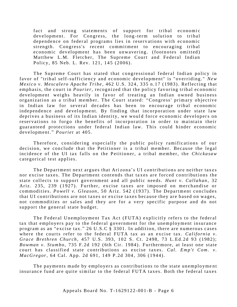fact and strong statements of support for tribal economic development. For Congress, the long-term solution to tribal dependence on federal programs lies in reservations with economic strength. Congress's recent commitment to encouraging tribal economic development has been unwavering. (footnotes omitted) Matthew L.M. Fletcher, The Supreme Court and Federal Indian Policy, 85 Neb. L. Rev. 121, 145 (2006).

The Supreme Court has stated that congressional federal Indian policy in favor of "tribal self-sufficiency and economic development" is "overriding." New *Mexico v. Mescalero Apache Tribe,* 462 U.S. 324, 335 n.17 (1983). Reflecting that emphasis, the court in *Pourier*, recognized that the policy favoring tribal economic development weighs heavily in favor of treating an Indian owned business organization as a tribal member. The Court stated: "Congress' primary objective in Indian law for several decades has been to encourage tribal economic independence and development. By finding that incorporation under state law deprives a business of its Indian identity, we would force economic developers on reservations to forgo the benefits of incorporation in order to maintain their guaranteed protections under federal Indian law. This could hinder economic development." *Pourier* at 405.

Therefore, considering especially the public policy ramifications of our decision, we conclude that the Petitioner is a tribal member. Because the legal incidence of the UI tax falls on the Petitioner, a tribal member, the *Chickasaw* categorical test applies.

The Department next argues that Arizona's UI contributions are neither taxes nor excise taxes. The Department contends that taxes are forced contributions the state collects to support government and all public needs. *Hunt v. Callahan*, 32 Ariz. 235, 239 (1927). Further, excise taxes are imposed on merchandise or commodities. *Powell v. Gleason*, 50 Ariz. 542 (1937). The Department concludes that UI contributions are not taxes or excise taxes because they are based on wages, not commodities or sales and they are for a very specific purpose and do not support the general state budget.

The Federal Unemployment Tax Act (FUTA) explicitly refers to the federal tax that employers pay to the federal government for the unemployment insurance program as an "excise tax." 26 U.S.C § 3301. In addition, there are numerous cases where the courts refer to the federal FUTA tax as an excise tax. *California v. Grace Brethren Church*, 457 U.S. 393, 102 S. Ct. 2498, 73 L. Ed. 2d 93 (1982); *Bowman v. Stumbo*, 735 F.2d 192 (6th Cir. 1984). Furthermore, at least one state court has classified state contributions as excise taxes. *Cal. Emp't Com. v. MacGregor*, 64 Cal. App. 2d 691, 149 P.2d 304, 306 (1944).

The payments made by employers as contributions to the state unemployment insurance fund are quite similar to the federal FUTA taxes. Both the federal taxes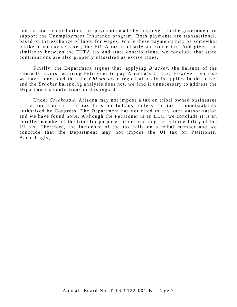and the state contributions are payments made by employers to the government to support the Unemployment Insurance program. Both payments are transactional, based on the exchange of labor for wages. While these payments may be somewhat unlike other excise taxes, the FUTA tax is clearly an excise tax. And given the similarity between the FUTA tax and state contributions, we conclude that state contributions are also properly classified as excise taxes.

Finally, the Department argues that, applying *Bracker*, the balance of the interests favors requiring Petitioner to pay Arizona's UI tax. However, because we have concluded that the *Chickasaw* categorical analysis applies in this case, and the Bracker balancing analysis does not, we find it unnecessary to address the Department's contentions in this regard.

Under Chickasaw, Arizona may not impose a tax on tribal owned businesses if the incidence of the tax falls on Indians, unless the tax is unmistakably authorized by Congress. The Department has not cited to any such authorization and we have found none. Although the Petitioner is an LLC, we conclude it is an enrolled member of the tribe for purposes of determining the enforceability of the UI tax. Therefore, the incidence of the tax falls on a tribal member and we conclude that the Department may not impose the UI tax on Petitioner. Accordingly,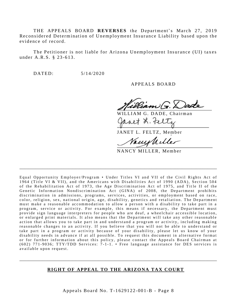THE APPEALS BOARD REVERSES the Department's March 27, 2019 Reconsidered Determination of Unemployment Insurance Liability based upon the evidence of record.

The Petitioner is not liable for Arizona Unemployment Insurance (UI) taxes under A.R.S. § 23-613.

 $DATED:$  $5/14/2020$ 

APPEALS BOARD

G. DADE. Chairman

JANET L. FELTZ, Member

NANCY MILLER, Member

Equal Opportunity Employer/Program . Under Titles VI and VII of the Civil Rights Act of 1964 (Title VI & VII), and the Americans with Disabilities Act of 1990 (ADA), Section 504 of the Rehabilitation Act of 1973, the Age Discrimination Act of 1975, and Title II of the Genetic Information Nondiscrimination Act (GINA) of 2008, the Department prohibits discrimination in admissions, programs, services, activities, or employment based on race, color, religion, sex, national origin, age, disability, genetics and retaliation. The Department must make a reasonable accommodation to allow a person with a disability to take part in a program, service or activity. For example, this means if necessary, the Department must provide sign language interpreters for people who are deaf, a wheelchair accessible location, or enlarged print materials. It also means that the Department will take any other reasonable action that allows you to take part in and understand a program or activity, including making reasonable changes to an activity. If you believe that you will not be able to understand or take part in a program or activity because of your disability, please let us know of your disability needs in advance if at all possible. To request this document in alternative format or for further information about this policy, please contact the Appeals Board Chairman at (602) 771-9036; TTY/TDD Services: 7-1-1. • Free language assistance for DES services is available upon request.

#### RIGHT OF APPEAL TO THE ARIZONA TAX COURT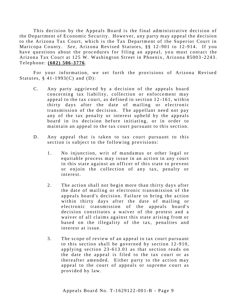This decision by the Appeals Board is the final administrative decision of the Department of Economic Security. However, any party may appeal the decision to the Arizona Tax Court, which is the Tax Department of the Superior Court in Maricopa County. See, Arizona Revised Statutes, §§ 12-901 to 12-914. If you have questions about the procedures for filing an appeal, you must contact the Arizona Tax Court at 125 W. Washington Street in Phoenix, Arizona 85003-2243. Telephone: (602) 506-3776.

For your information, we set forth the provisions of Arizona Revised Statutes,  $§$  41-1993(C) and (D):

- $C_{\cdot}$ Any party aggrieved by a decision of the appeals board concerning tax liability, collection or enforcement may appeal to the tax court, as defined in section 12-161, within thirty days after the date of mailing or electronic transmission of the decision. The appellant need not pay any of the tax penalty or interest upheld by the appeals board in its decision before initiating, or in order to maintain an appeal to the tax court pursuant to this section.
- D. Any appeal that is taken to tax court pursuant to this section is subject to the following provisions:
	- 1. No injunction, writ of mandamus or other legal or equitable process may issue in an action in any court in this state against an officer of this state to prevent or enjoin the collection of any tax, penalty or interest
	- $2.$ The action shall not begin more than thirty days after the date of mailing or electronic transmission of the appeals board's decision. Failure to bring the action within thirty days after the date of mailing or electronic transmission of the appeals board's decision constitutes a waiver of the protest and a waiver of all claims against this state arising from or based on the illegality of the tax, penalties and interest at issue.
	- $3<sub>1</sub>$ The scope of review of an appeal to tax court pursuant to this section shall be governed by section 12-910, applying section 23-613.01 as that section reads on the date the appeal is filed to the tax court or as thereafter amended. Either party to the action may appeal to the court of appeals or supreme court as provided by law.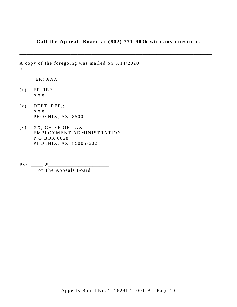# Call the Appeals Board at (602) 771-9036 with any questions

A copy of the foregoing was mailed on 5/14/2020  $\mathrm{to:}$ 

ER: XXX

- ER REP:  $(x)$ **XXX**
- DEPT. REP.:  $(x)$ **XXX** PHOENIX, AZ 85004
- $(x)$ XX, CHIEF OF TAX EMPLOYMENT ADMINISTRATION P O BOX 6028 PHOENIX, AZ 85005-6028
- $By: \underline{\hspace{1cm}} LS$ For The Appeals Board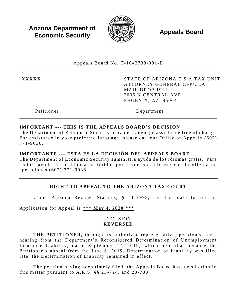**Arizona Department of Economic Security** 



**Appeals Board** 

Appeals Board No. T-1642738-001-B

**XXXXX** 

STATE OF ARIZONA E S A TAX UNIT ATTORNEY GENERAL CFP/CLA MAIL DROP 1911 2005 N CENTRAL AVE PHOENIX, AZ 85004

Petitioner

Department

# **IMPORTANT --- THIS IS THE APPEALS BOARD'S DECISION**

The Department of Economic Security provides language assistance free of charge. For assistance in your preferred language, please call our Office of Appeals (602) 771-9036.

# IMPORTANTE --- ESTA ES LA DECISIÓN DEL APPEALS BOARD

The Department of Economic Security suministra ayuda de los idiomas gratis. Para recibir ayuda en su idioma preferido, por favor comunicarse con la oficina de apelaciones (602) 771-9036.

# RIGHT TO APPEAL TO THE ARIZONA TAX COURT

Under Arizona Revised Statutes, § 41-1993, the last date to file an

Application for Appeal is \*\*\* May 4, 2020 \*\*\*.

# **DECISION REVERSED**

THE PETITIONER, through its authorized representative, petitioned for a hearing from the Department's Reconsidered Determination of Unemployment Insurance Liability, dated September 12, 2019, which held that because the Petitioner's appeal from the June 6, 2019, Determination of Liability was filed late, the Determination of Liability remained in effect.

The petition having been timely filed, the Appeals Board has jurisdiction in this matter pursuant to A.R.S.  $\S$   $\S$  23-724, and 23-733.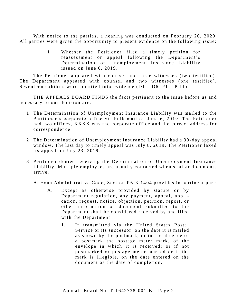With notice to the parties, a hearing was conducted on February 26, 2020. All parties were given the opportunity to present evidence on the following issue:

> 1. Whether the Petitioner filed a timely petition for reassessment or appeal following the Department's Determination of Unemployment Insurance Liability issued on June 6, 2019.

The Petitioner appeared with counsel and three witnesses (two testified). The Department appeared with counsel and two witnesses (one testified). Seventeen exhibits were admitted into evidence  $(D1 - D6, P1 - P 11)$ .

THE APPEALS BOARD FINDS the facts pertinent to the issue before us and necessary to our decision are:

- 1. The Determination of Unemployment Insurance Liability was mailed to the Petitioner's corporate office via bulk mail on June 6, 2019. The Petitioner had two offices, XXXX was the corporate office and the correct address for correspondence.
- 2. The Determination of Unemployment Insurance Liability had a 30-day appeal window. The last day to timely appeal was July 8, 2019. The Petitioner faxed its appeal on July 23, 2019.
- 3. Petitioner denied receiving the Determination of Unemployment Insurance Liability. Multiple employees are usually contacted when similar documents ar r ive.

Arizona Administrative Code, Section R6-3-1404 provides in pertinent part:

- A. Except as otherwise provided by statute or by Department regulation, any payment, appeal, application, request, notice, objection, petition, report, or other information or document submitted to the Department shall be considered received by and filed with the Department:
	- 1. If transmitted via the United States Postal Service or its successor, on the date it is mailed as shown by the postmark, or in the absence of a postmark the postage meter mark, of the envelope in which it is received; or if not postmarked or postage meter marked or if the mark is illegible, on the date entered on the document as the date of completion.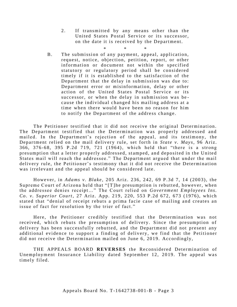2. If transmitted by any means other than the United States Postal Service or its successor, on the date it is received by the Department.

\* \* \*

B. The submission of any payment, appeal, application, request, notice, objection, petition, report, or other information or document not within the specified statutory or regulatory period shall be considered timely if it is established to the satisfaction of the Department that the delay in submission was due to: Department error or misinformation, delay or other action of the United States Postal Service or its successor, or when the delay in submission was because the individual changed his mailing address at a time when there would have been no reason for him to notify the Department of the address change.

The Petitioner testified that it did not receive the original Determination. The Department testified that the Determination was properly addressed and mailed. In the Department's rejection of the appeal, and its testimony, the Department relied on the mail delivery rule, set forth in *State v. Mays*, 96 Ariz. 366, 376-68, 395 P.2d 719, 721 (1964), which held that "there is a strong presumption that a letter properly addressed, stamped, and deposited in the United States mail will reach the addressee." The Department argued that under the mail delivery rule, the Petitioner's testimony that it did not receive the Determination was irrelevant and the appeal should be considered late.

However, in *Adams v. Blake*, 205 Ariz. 236, 242, 69 P.3d 7, 14 (2003), the Supreme Court of Arizona held that "[T] he presumption is rebutted, however, when the addressee denies receipt..." The Court relied on *Government Employees Ins. Co. v. Superior Court*, 27 Ariz. App. 219, 220, 553 P.2d 672, 673 (1976), which stated that "denial of receipt rebuts a prima facie case of mailing and creates an issue of fact for resolution by the trier of fact."

Here, the Petitioner credibly testified that the Determination was not received, which rebuts the presumption of delivery. Since the presumption of delivery has been successfully rebutted, and the Department did not present any additional evidence to support a finding of delivery, we find that the Petitioner did not receive the Determination mailed on June 6, 2019. Accordingly,

THE APPEALS BOARD REVERSES the Reconsidered Determination of Unemployment Insurance Liability dated September 12, 2019. The appeal was timely filed.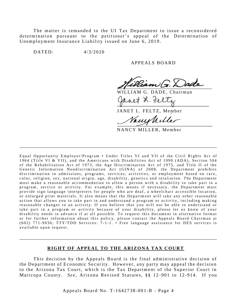The matter is remanded to the UI Tax Department to issue a reconsidered determination pursuant to the petitioner's appeal of the Determination of Unemployment Insurance Liability issued on June 6, 2019.

 $DATED:$ 

 $4/3/2020$ 

#### APPEALS BOARD

WILLIAM G. DADE, Chairman

JANET L. FELTZ, Member

Vanishiller

NANCY MILLER, Member

Equal Opportunity Employer/Program . Under Titles VI and VII of the Civil Rights Act of 1964 (Title VI & VII), and the Americans with Disabilities Act of 1990 (ADA), Section 504 of the Rehabilitation Act of 1973, the Age Discrimination Act of 1975, and Title II of the Genetic Information Nondiscrimination Act (GINA) of 2008, the Department prohibits discrimination in admissions, programs, services, activities, or employment based on race, color, religion, sex, national origin, age, disability, genetics and retaliation. The Department must make a reasonable accommodation to allow a person with a disability to take part in a program, service or activity. For example, this means if necessary, the Department must provide sign language interpreters for people who are deaf, a wheelchair accessible location, or enlarged print materials. It also means that the Department will take any other reasonable action that allows you to take part in and understand a program or activity, including making reasonable changes to an activity. If you believe that you will not be able to understand or take part in a program or activity because of your disability, please let us know of your disability needs in advance if at all possible. To request this document in alternative format or for further information about this policy, please contact the Appeals Board Chairman at (602) 771-9036; TTY/TDD Services: 7-1-1. • Free language assistance for DES services is available upon request.

#### RIGHT OF APPEAL TO THE ARIZONA TAX COURT

This decision by the Appeals Board is the final administrative decision of the Department of Economic Security. However, any party may appeal the decision to the Arizona Tax Court, which is the Tax Department of the Superior Court in Maricopa County. See, Arizona Revised Statutes, §§ 12-901 to 12-914. If you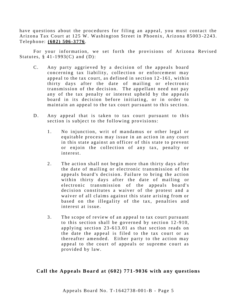have questions about the procedures for filing an appeal, you must contact the Arizona Tax Court at 125 W. Washington Street in Phoenix, Arizona 85003-2243. Telephone: (602) 506-3776.

For your information, we set forth the provisions of Arizona Revised Statutes,  $§$  41-1993(C) and (D):

- $C<sub>1</sub>$ Any party aggrieved by a decision of the appeals board concerning tax liability, collection or enforcement may appeal to the tax court, as defined in section 12-161, within thirty days after the date of mailing or electronic transmission of the decision. The appellant need not pay any of the tax penalty or interest upheld by the appeals board in its decision before initiating, or in order to maintain an appeal to the tax court pursuant to this section.
- D. Any appeal that is taken to tax court pursuant to this section is subject to the following provisions:
	- 1. No injunction, writ of mandamus or other legal or equitable process may issue in an action in any court in this state against an officer of this state to prevent or enjoin the collection of any tax, penalty or interest.
	- $2.$ The action shall not begin more than thirty days after the date of mailing or electronic transmission of the appeals board's decision. Failure to bring the action within thirty days after the date of mailing or electronic transmission of the appeals board's decision constitutes a waiver of the protest and a waiver of all claims against this state arising from or based on the illegality of the tax, penalties and interest at issue.
	- The scope of review of an appeal to tax court pursuant 3. to this section shall be governed by section 12-910, applying section 23-613.01 as that section reads on the date the appeal is filed to the tax court or as thereafter amended. Either party to the action may appeal to the court of appeals or supreme court as provided by law.

# Call the Appeals Board at (602) 771-9036 with any questions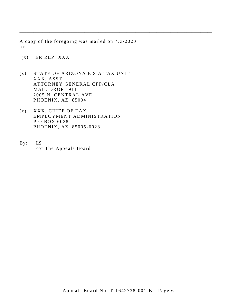A copy of the foregoing was mailed on 4/3/2020  $\mathrm{to}$ :

 $(x)$  ER REP: XXX

- STATE OF ARIZONA E S A TAX UNIT  $(x)$ XXX, ASST ATTORNEY GENERAL CFP/CLA MAIL DROP 1911 2005 N. CENTRAL AVE PHOENIX, AZ 85004
- XXX, CHIEF OF TAX  $(x)$ EMPLOYMENT ADMINISTRATION P O BOX 6028 PHOENIX, AZ 85005-6028
- $By: LS$ For The Appeals Board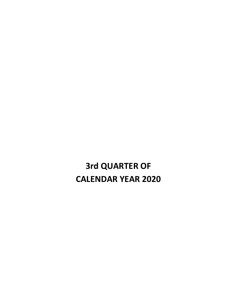**3rd QUARTER OF CALENDAR YEAR 2020**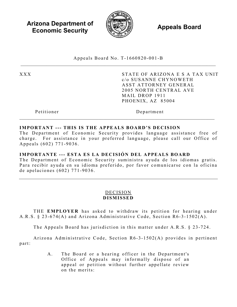**Arizona Department of Economic Security Appeals Board** *Appeals Board* 



Appeals Board No. T - 1660820 -001 -B

XXX STATE OF ARIZONA E S A TAX UNIT c/o SUSANNE CHYNOWETH ASST ATTORNEY GENERAL 2005 NORTH CENTRAL AVE MAIL DROP 1911 PHOENIX, AZ 85004

Petitioner Department

# **IMPORTANT --- THIS IS THE APPEALS BOARD'S DECISION**

The Department of Economic Security provides language assistance free of charge. For assistance in your preferred language, please call our Office of Appeals (602) 771 -9036 .

# **IMPORTANTE --- ESTA ES LA DECISIÓN DEL APPEALS BOARD**

The Department of Economic Security suministra ayuda de los idiomas gratis. Para recibir ayuda en su idioma preferido, por favor comunicarse con la oficina de apelaciones (602) 771 - 9036 .

#### DECISION **DISMISSED**

THE **EMPLOYER** has asked to withdraw its petition for hearing under A.R.S.  $\S 23-674(A)$  and Arizona Administrative Code, Section R6-3-1502(A).

The Appeals Board has jurisdiction in this matter under A.R.S. § 23 -724.

Arizona Administrative Code, Section  $R6-3-1502(A)$  provides in pertinent part:

> A. The Board or a hearing officer in the Department's Office of Appeals may informally dispose of an appeal or petition without further appellate review on the merits: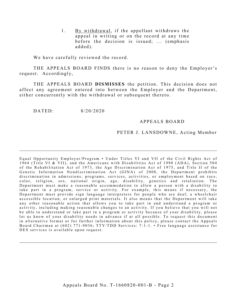1. By withdrawal, if the appellant withdraws the appeal in writing or on the record at any time before the decision is issued; ... (emphasis added).

We have carefully reviewed the record.

THE APPEALS BOARD FINDS there is no reason to deny the Employer's request. Accordingly,

THE APPEALS BOARD **DISMISSES** the petition. This decision does not affect any agreement entered into between the Employer and the Department, either concurrently with the withdrawal or subsequent thereto.

DATED: 8/20/2020

#### APPEALS BOARD

#### PETER J. LANSDOWNE, Acting Member

Equal Opportunity Employer/Program • Under Titles VI and VII of the Civil Rights Act of 1964 (Title VI & VII), and the Americans with Disabilities Act of 1990 (ADA), Section 504 of the Rehabilitation Act of 1973, the Age Discrimination Act of 1975, and Title II of the Genetic Information Nondiscrimination Act (GINA) of 2008, the Department prohibits discrimination in admissions, programs, services, activities, or employment based on race, color, religion, sex, national origin, age, disability, genetics and retaliation. The Department must make a reasonable accommodation to allow a person with a disability to take part in a program, service or activity. For example, this means if necessary, the Department must provide sign language interpreters for people who are deaf, a wheelchair accessible location, or enlarged print materials. It also means that the Department will take any other reasonable action that allows you to take part in and understand a program or activity, including making reasonable changes to an activity. If you believe that you will not be able to understand or take part in a program or activity because of your disability, please let us know of your disability needs in advance if at all possible. To request this document in alternative format or for further information about this policy, please contact the Appeals Board Chairman at (602) 771-9036; TTY/TDD Services: 7-1-1. • Free language assistance for DES services is available upon request.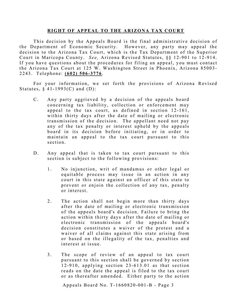#### **RIGHT OF APPEAL TO THE ARIZONA TAX COURT**

This decision by the Appeals Board is the final administrative decision of the Department of Economic Security. However, any party may appeal the decision to the Arizona Tax Court, which is the Tax Department of the Superior Court in Maricopa County. *See*, Arizona Revised Statutes, §§ 12-901 to 12-914. If you have questions about the procedures for filing an appeal, you must contact the Arizona Tax Court at 125 W. Washington Street in Phoenix, Arizona 85003 - 2243. Telephone: **(602) 506 - 3776** .

For your information, we set forth the provisions of Arizona Revised Statutes,  $§$  41-1993(C) and (D):

- C. Any party aggrieved by a decision of the appeals board concerning tax liability, collection or enforcement may appeal to the tax court, as defined in section 12-161, within thirty days after the date of mailing or electronic transmission of the decision. The appellant need not pay any of the tax penalty or interest upheld by the appeals board in its decision before initiating, or in order to maintain an appeal to the tax court pursuant to this section.
- D. Any appeal that is taken to tax court pursuant to this section is subject to the following provisions:
	- 1. No injunction, writ of mandamus or other legal or equitable process may issue in an action in any court in this state against an officer of this state to prevent or enjoin the collection of any tax, penalty or interest.
	- 2. The action shall not begin more than thirty days after the date of mailing or electronic transmission of the appeals board's decision. Failure to bring the action within thirty days after the date of mailing or electronic transmission of the appeals board's decision constitutes a waiver of the protest and a waiver of all claims against this state arising from or based on the illegality of the tax, penalties and interest at issue.
	- 3. The scope of review of an appeal to tax court pursuant to this section shall be governed by section  $12 - 910$ , applying section  $23 - 613.01$  as that section reads on the date the appeal is filed to the tax court or as thereafter amended. Either party to the action

Appeals Board No. T- 1660820 -001 -B - Page 3